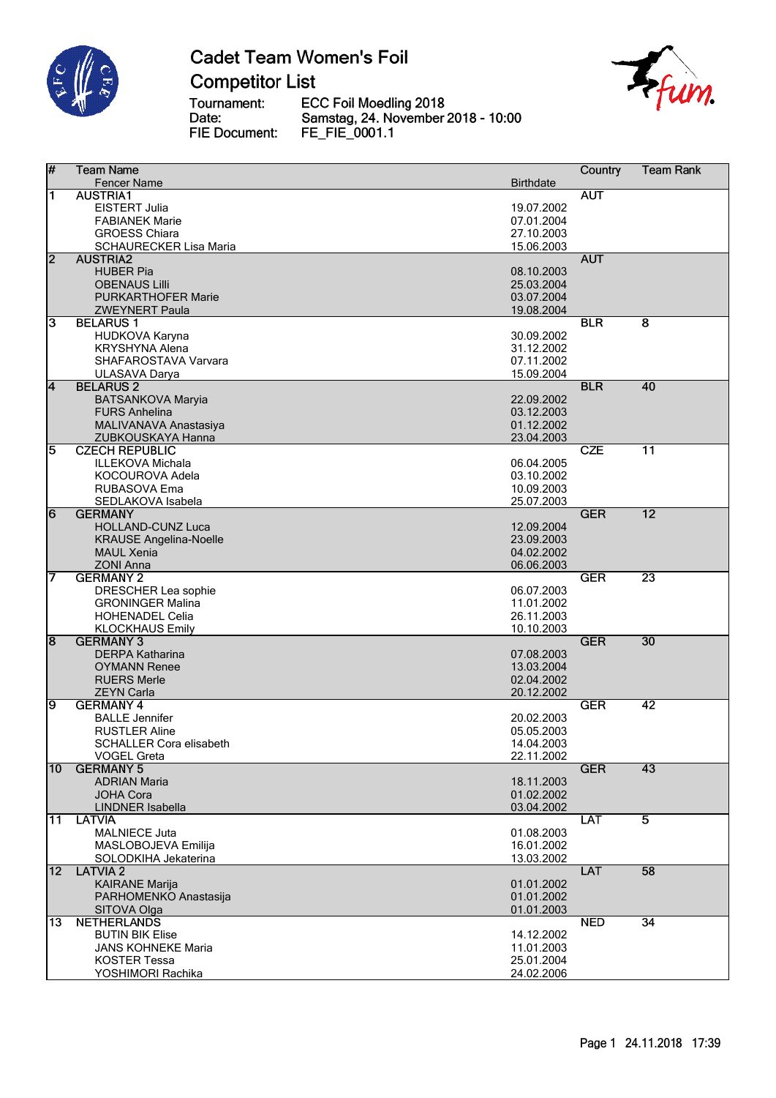

**Competitor List** 

Tournament: Date: FIE Document: ECC Foil Moedling 2018<br>Samstag, 24. November 2018 - 10:00<br>FE\_FIE\_0001.1



| $\overline{t}$  | <b>Team Name</b>                         |                  | Country    | <b>Team Rank</b>        |
|-----------------|------------------------------------------|------------------|------------|-------------------------|
|                 | <b>Fencer Name</b>                       | <b>Birthdate</b> |            |                         |
| $\overline{1}$  | <b>AUSTRIA1</b>                          |                  | <b>AUT</b> |                         |
|                 | EISTERT Julia                            | 19.07.2002       |            |                         |
|                 | <b>FABIANEK Marie</b>                    | 07.01.2004       |            |                         |
|                 | <b>GROESS Chiara</b>                     | 27.10.2003       |            |                         |
|                 | SCHAURECKER Lisa Maria                   | 15.06.2003       |            |                         |
| $\overline{2}$  | <b>AUSTRIA2</b>                          |                  | <b>AUT</b> |                         |
|                 | <b>HUBER Pia</b>                         | 08.10.2003       |            |                         |
|                 | <b>OBENAUS Lilli</b>                     | 25.03.2004       |            |                         |
|                 | <b>PURKARTHOFER Marie</b>                | 03.07.2004       |            |                         |
| $\overline{3}$  | <b>ZWEYNERT Paula</b><br><b>BELARUS1</b> | 19.08.2004       | <b>BLR</b> | $\overline{\mathbf{8}}$ |
|                 | <b>HUDKOVA Karyna</b>                    | 30.09.2002       |            |                         |
|                 | <b>KRYSHYNA Alena</b>                    | 31.12.2002       |            |                         |
|                 | SHAFAROSTAVA Varvara                     | 07.11.2002       |            |                         |
|                 | <b>ULASAVA Darya</b>                     | 15.09.2004       |            |                         |
| $\overline{4}$  | <b>BELARUS 2</b>                         |                  | <b>BLR</b> | 40                      |
|                 | BATSANKOVA Maryia                        | 22.09.2002       |            |                         |
|                 | <b>FURS Anhelina</b>                     | 03.12.2003       |            |                         |
|                 | MALIVANAVA Anastasiya                    | 01.12.2002       |            |                         |
|                 | ZUBKOUSKAYA Hanna                        | 23.04.2003       |            |                         |
| 5               | <b>CZECH REPUBLIC</b>                    |                  | <b>CZE</b> | 11                      |
|                 | <b>ILLEKOVA Michala</b>                  | 06.04.2005       |            |                         |
|                 | KOCOUROVA Adela                          | 03.10.2002       |            |                         |
|                 | RUBASOVA Ema                             | 10.09.2003       |            |                         |
|                 | SEDLAKOVA Isabela                        | 25.07.2003       |            |                         |
| 6               | <b>GERMANY</b>                           |                  | <b>GER</b> | $\overline{12}$         |
|                 | <b>HOLLAND-CUNZ Luca</b>                 | 12.09.2004       |            |                         |
|                 | <b>KRAUSE Angelina-Noelle</b>            | 23.09.2003       |            |                         |
|                 | <b>MAUL Xenia</b>                        | 04.02.2002       |            |                         |
|                 | <b>ZONI Anna</b>                         | 06.06.2003       |            |                         |
| 7               | <b>GERMANY 2</b>                         |                  | <b>GER</b> | $\overline{23}$         |
|                 | DRESCHER Lea sophie                      | 06.07.2003       |            |                         |
|                 | <b>GRONINGER Malina</b>                  | 11.01.2002       |            |                         |
|                 | <b>HOHENADEL Celia</b>                   | 26.11.2003       |            |                         |
|                 | <b>KLOCKHAUS Emily</b>                   | 10.10.2003       |            |                         |
| 8               | <b>GERMANY 3</b>                         |                  | <b>GER</b> | $\overline{30}$         |
|                 | <b>DERPA Katharina</b>                   | 07.08.2003       |            |                         |
|                 | <b>OYMANN Renee</b>                      | 13.03.2004       |            |                         |
|                 | <b>RUERS Merle</b>                       | 02.04.2002       |            |                         |
|                 | <b>ZEYN Carla</b>                        | 20.12.2002       |            |                         |
| ē               | <b>GERMANY 4</b>                         |                  | <b>GER</b> | 42                      |
|                 | <b>BALLE</b> Jennifer                    | 20.02.2003       |            |                         |
|                 | <b>RUSTLER Aline</b>                     | 05.05.2003       |            |                         |
|                 | SCHALLER Cora elisabeth                  | 14.04.2003       |            |                         |
|                 | <b>VOGEL Greta</b>                       | 22.11.2002       |            |                         |
| 10              | <b>GERMANY 5</b>                         |                  | <b>GER</b> | $\overline{43}$         |
|                 | <b>ADRIAN Maria</b>                      | 18.11.2003       |            |                         |
|                 | <b>JOHA Cora</b>                         | 01.02.2002       |            |                         |
| $\overline{11}$ | <b>LINDNER Isabella</b><br>LATVIA        | 03.04.2002       | LAT        | 5                       |
|                 | <b>MALNIECE Juta</b>                     | 01.08.2003       |            |                         |
|                 | MASLOBOJEVA Emilija                      | 16.01.2002       |            |                         |
|                 | SOLODKIHA Jekaterina                     | 13.03.2002       |            |                         |
| 12              | <b>LATVIA 2</b>                          |                  | LAT        | $\overline{58}$         |
|                 | <b>KAIRANE Marija</b>                    | 01.01.2002       |            |                         |
|                 | PARHOMENKO Anastasija                    | 01.01.2002       |            |                         |
|                 | SITOVA Olga                              | 01.01.2003       |            |                         |
| 13              | <b>NETHERLANDS</b>                       |                  | <b>NED</b> | $\overline{34}$         |
|                 | <b>BUTIN BIK Elise</b>                   | 14.12.2002       |            |                         |
|                 | <b>JANS KOHNEKE Maria</b>                | 11.01.2003       |            |                         |
|                 | <b>KOSTER Tessa</b>                      | 25.01.2004       |            |                         |
|                 | YOSHIMORI Rachika                        | 24.02.2006       |            |                         |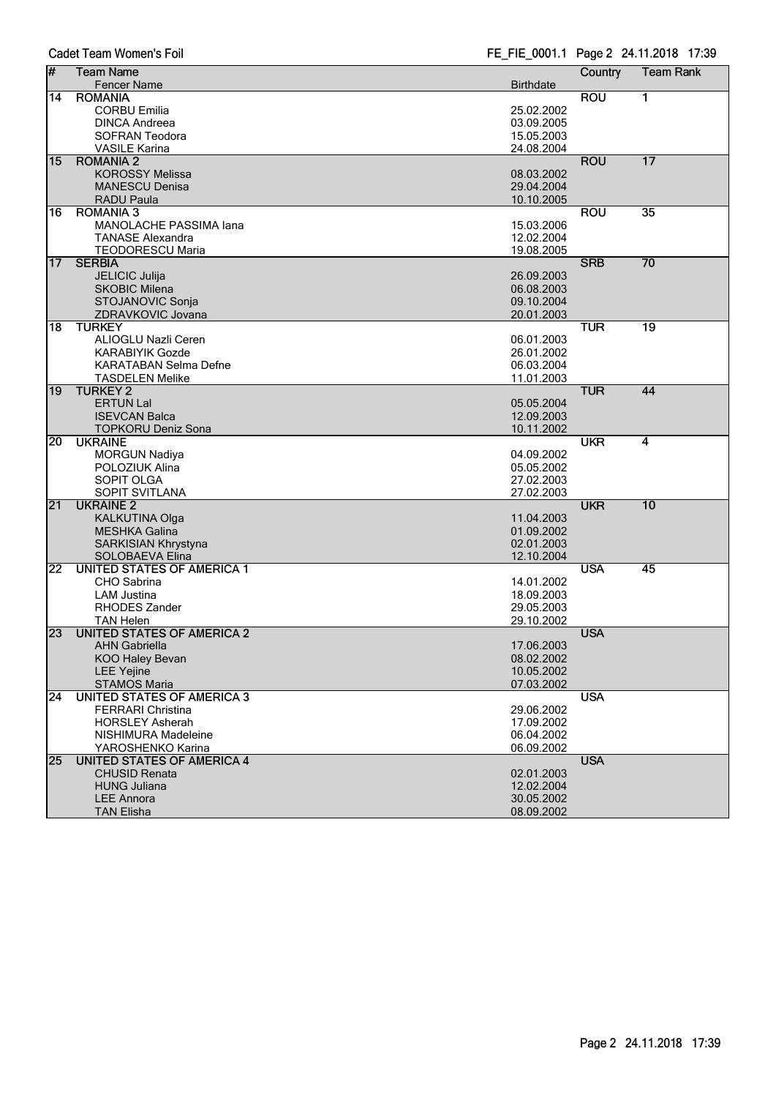E **Team Name** Country **Team Rank** Fencer Name Birthdate Birthdate Birthdate Birthdate Birthdate Birthdate Birthdate Birthdate Birthdate Birthdate Birthdate Birthdate Birthdate Birthdate Birthdate Birthdate Birthdate Birthdate Birthdate Birthdate Birthdate 14  $ROU$ 7 CORBU Emilia 25.02.2002 DINCA Andreea 03.09.2005 SOFRAN Teodora 15.05.2003 VASILE Karina<br>ROMANIA 2  $\overline{15}$ **ROU**  $17$ KOROSSY Melissa 08.03.2002 MANESCU Denisa 29.04.2004 RADU Paula 16  $\overline{\text{ROU}}$  $\overline{35}$ MANOLACHE PASSIMA Iana<br>TANASE Alexandra 15.03.2006<br>12.02.2004 TANASE Alexandra (12.02.2004) 12.02.2004<br>TEODORESCU Maria (12.02.2005) 19.08.2005 TEODORESCU Maria  $\overline{17}$ **SRB**  $\overline{70}$ JELICIC Julija 26.09.2003 SKOBIC Milena 2003 Control of the Control of the Control of the Control of the Control of the Control of the Control of the Control of the Control of the Control of the Control of the Control of the Control of the Control STOJANOVIC Sonja 09.10.2004 ZDRAVKOVIC Jovana 20.01.2003  $\overline{\text{TUR}}$ 19 निष्ठ ALIOGLU Nazli Ceren 2008 (2008) 2012 - 2013 (2009) 2012 2020 2031 2040 205.01.2003<br>KARABIYIK Gozde KARABIYIK Gozde KARATABAN Selma Defne 06.03.2004 TASDELEN Melike  $\overline{19}$ TUR  $\overline{44}$ ERTUN Lal 05.05.2004 ISEVCAN Balca 12.09.2003 TOPKORU Deniz Sona **UKR**  $\overline{20}$  $\overline{4}$ MORGUN Nadiya 04.09.2002 POLOZIUK Alina 05.05.2002 SOPIT OLGA SOPIT SVITLANA 27.02.2003  $\overline{21}$ **UKR**  $10$ KALKUTINA Olga 11.04.2003 MESHKA Galina SARKISIAN Khrystyna 02.01.2003 SOLOBAEVA Elina<br>12.11.10.2004 UNITED STATES OF AMERICA  $\overline{22}$ **TISA** 45 CHO Sabrina 14.01.2002 LAM Justina 18.09.2003 RHODES Zander TAN Helen 29.10.2002<br>
UNITED STATES OF AMERICA 2 23 **USA** AHN Gabriella 17.06.2003 KOO Haley Bevan 2008 08:02.2002 November 2008 08:02.2002 LEE Yejine 10.05.2002 STAMOS Maria 07.03.2002  $\overline{24}$ **USA** FERRARI Christina 29.06.2002 HORSLEY Asherah 17.09.2002 NISHIMURA Madeleine 06.04.2002 YAROSHENKO Karina<br>UNITED STATES OF AMERICA 4 25 **USA** CHUSID Renata 02.01.2003 HUNG Juliana 12.02.2004 LEE Annora TAN Elisha 08.09.2002

**Cadet Team Women's Foil** 

FE FIE 0001.1 Page 2 24.11.2018 17:39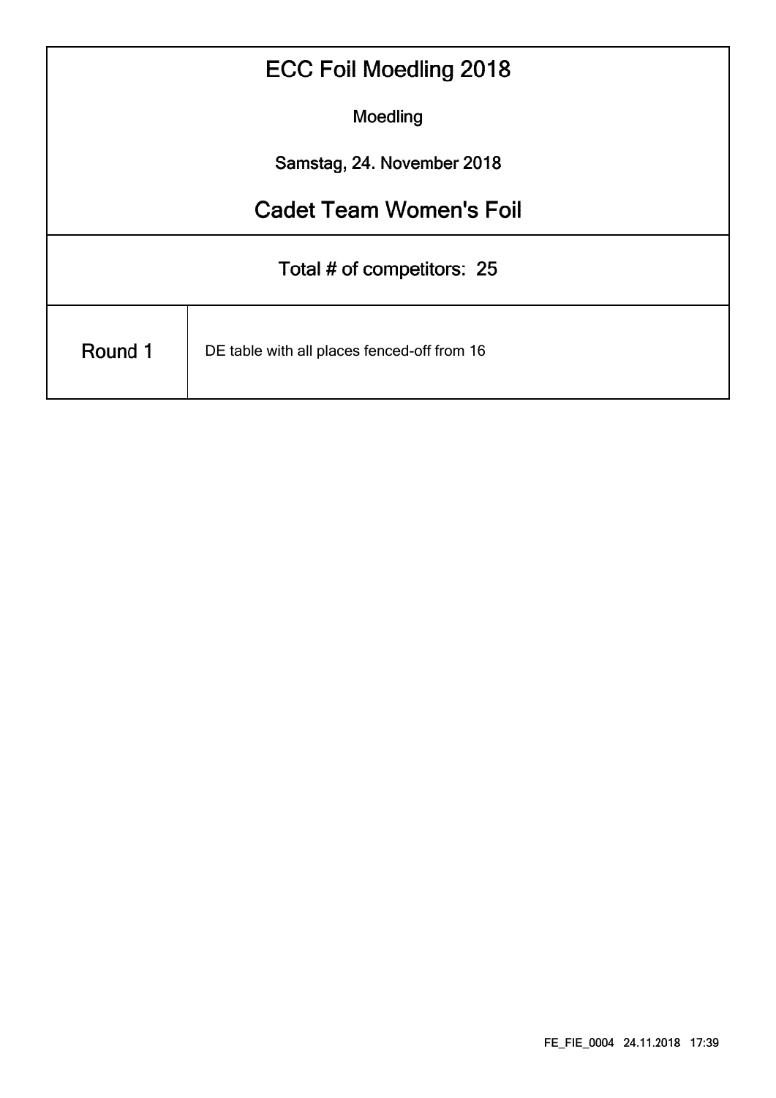|                                                        | <b>ECC Foil Moedling 2018</b>  |  |  |  |  |
|--------------------------------------------------------|--------------------------------|--|--|--|--|
|                                                        | Moedling                       |  |  |  |  |
|                                                        | Samstag, 24. November 2018     |  |  |  |  |
|                                                        | <b>Cadet Team Women's Foil</b> |  |  |  |  |
| Total # of competitors: 25                             |                                |  |  |  |  |
| Round 1<br>DE table with all places fenced-off from 16 |                                |  |  |  |  |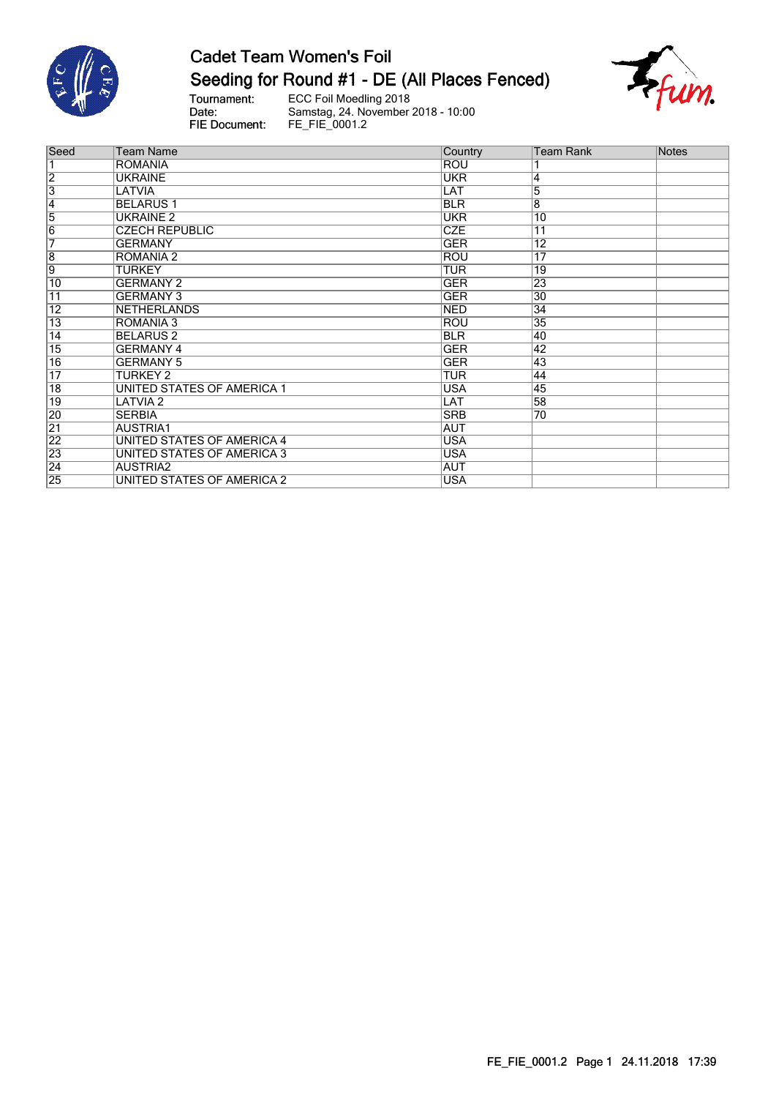

Seeding for Round #1 - DE (All Places Fenced)

Tournament:<br>Date: FIE Document:

# ECC Foil Moedling 2018<br>Samstag, 24. November 2018 - 10:00<br>FE\_FIE\_0001.2



| Seed            | Team Name                  | Country    | Team Rank       | Notes |
|-----------------|----------------------------|------------|-----------------|-------|
|                 | ROMANIA                    | ROU        |                 |       |
| $\overline{2}$  | <b>UKRAINE</b>             | <b>UKR</b> | 14              |       |
| $\overline{3}$  | LATVIA                     | LAT        | 5               |       |
| 4               | <b>BELARUS1</b>            | <b>BLR</b> | $\overline{8}$  |       |
| 5               | UKRAINE 2                  | <b>UKR</b> | $\overline{10}$ |       |
| 6               | <b>CZECH REPUBLIC</b>      | <b>CZE</b> | $\overline{11}$ |       |
| 7               | <b>GERMANY</b>             | <b>GER</b> | $\overline{12}$ |       |
| 8               | <b>ROMANIA 2</b>           | ROU        | 17              |       |
| 9               | <b>TURKEY</b>              | <b>TUR</b> | 19              |       |
| 10              | <b>GERMANY 2</b>           | <b>GER</b> | 23              |       |
| 11              | <b>GERMANY 3</b>           | <b>GER</b> | 30              |       |
| 12              | <b>NETHERLANDS</b>         | <b>NED</b> | $\overline{34}$ |       |
| $\overline{13}$ | <b>ROMANIA 3</b>           | <b>ROU</b> | 35              |       |
| $\overline{14}$ | <b>BELARUS 2</b>           | <b>BLR</b> | $\overline{40}$ |       |
| $\overline{15}$ | <b>GERMANY 4</b>           | <b>GER</b> | 42              |       |
| $\overline{16}$ | <b>GERMANY 5</b>           | <b>GER</b> | 43              |       |
| $\overline{17}$ | <b>TURKEY 2</b>            | TUR        | 44              |       |
| $\overline{18}$ | UNITED STATES OF AMERICA 1 | <b>USA</b> | 45              |       |
| $\overline{19}$ | <b>LATVIA 2</b>            | LAT        | 58              |       |
| 20              | <b>SERBIA</b>              | <b>SRB</b> | 70              |       |
| $\overline{21}$ | <b>AUSTRIA1</b>            | <b>AUT</b> |                 |       |
| 22              | UNITED STATES OF AMERICA 4 | <b>USA</b> |                 |       |
| 23              | UNITED STATES OF AMERICA 3 | <b>USA</b> |                 |       |
| 24              | AUSTRIA2                   | AUT        |                 |       |
| $\overline{25}$ | UNITED STATES OF AMERICA 2 | <b>USA</b> |                 |       |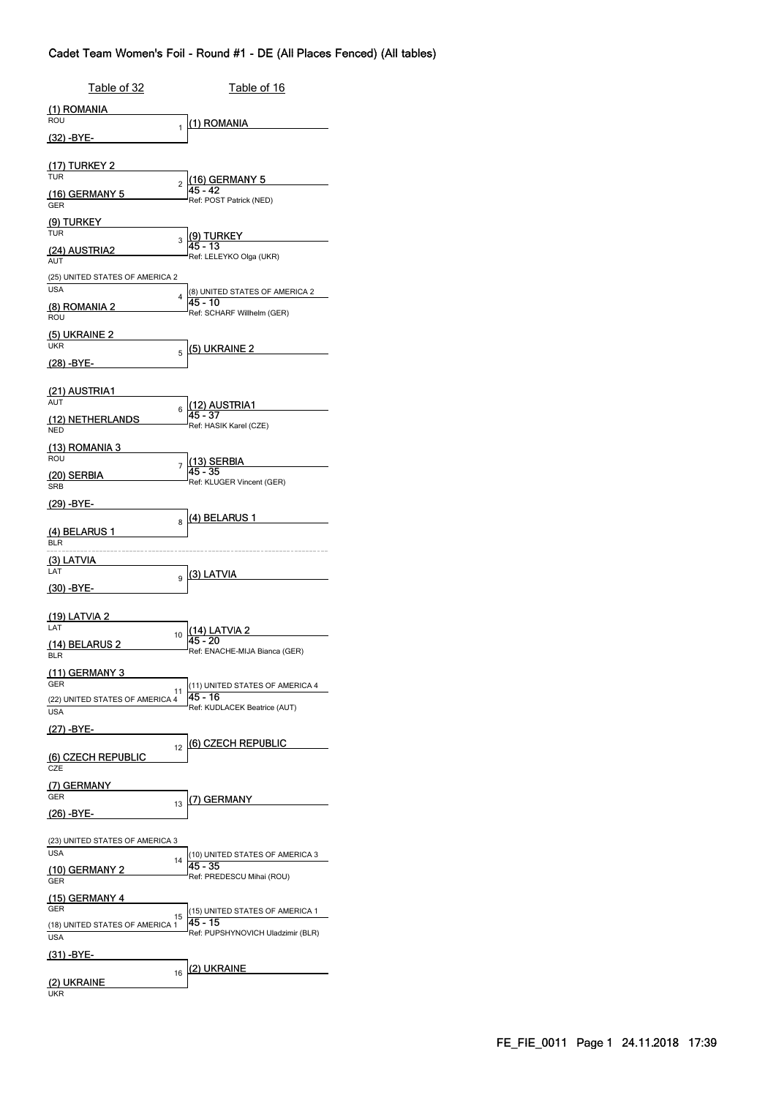#### Cadet Team Women's Foil - Round #1 - DE (All Places Fenced) (All tables)

| Table of 32                                   |                | Table of 16                                                             |
|-----------------------------------------------|----------------|-------------------------------------------------------------------------|
| (1) ROMANIA<br>ROU                            |                |                                                                         |
| <u>(32) -BYE-</u>                             | 1              | <u>(1) ROMANIA</u>                                                      |
| <u>(17) TURKEY 2</u><br>TUR                   |                |                                                                         |
| <u>(16) GERMANY 5</u><br><b>GER</b>           | $\overline{2}$ | (16) GERMANY 5<br>45 - 42<br>Ref: POST Patrick (NED)                    |
| <u>(9) TURKEY</u><br>TUR                      |                |                                                                         |
| (24) AUSTRIA2<br>AUT                          | 3              | (9) TURKEY<br>$45 - 13$<br>Ref: LELEYKO Olga (UKR)                      |
| (25) UNITED STATES OF AMERICA 2<br><b>USA</b> |                |                                                                         |
| <u>(8) ROMANIA 2</u><br>ROU                   | 4              | (8) UNITED STATES OF AMERICA 2<br>45 - 10<br>Ref: SCHARF Willhelm (GER) |
| <u>(5) UKRAINE 2</u>                          |                |                                                                         |
| <b>UKR</b><br>(28) -BYE-                      | 5              | <u>(5) UKRAINE 2</u>                                                    |
| (21) AUSTRIA1                                 |                |                                                                         |
| <b>AUT</b>                                    | 6              | <u>(12) AUSTRIA1</u><br>45 - 37                                         |
| (12) NETHERLANDS<br>NED                       |                | Ref: HASIK Karel (CZE)                                                  |
| <u>(13) ROMANIA 3</u><br>ROU                  | 7              | (13) SERBIA                                                             |
| (20) SERBIA<br>SRB                            |                | 45 - 35<br>Ref: KLUGER Vincent (GER)                                    |
| <u>(29) -BYE-</u>                             |                |                                                                         |
| (4) BELARUS 1<br><b>BLR</b>                   | 8              | <u>(4) BELARUS 1</u>                                                    |
| <u>(3) LATVIA</u>                             |                |                                                                         |
| LAT<br><u>(30) -BYE-</u>                      | 9              | 3) LATVIA                                                               |
| <u>(19) LATVIA 2</u>                          |                |                                                                         |
| I AT                                          | 10             | (14) LATVIA 2<br>45 - 20                                                |
| (14) BELARUS 2<br>BI R                        |                | Ref: ENACHE-MIJA Bianca (GER)                                           |
| (11) GERMANY 3<br>GER                         |                | (11) UNITED STATES OF AMERICA 4                                         |
| (22) UNITED STATES OF AMERICA 4<br><b>USA</b> | 11             | 45 - 16<br>Ref: KUDLACEK Beatrice (AUT)                                 |
| <u>(27) -BYE-</u>                             |                |                                                                         |
| (6) CZECH REPUBLIC<br><b>CZE</b>              | 12             | (6) CZECH REPUBLIC                                                      |
| <u>(7) GERMANY</u>                            |                |                                                                         |
| GER<br>(26) -BYE-                             | 13             | GERMANY                                                                 |
| (23) UNITED STATES OF AMERICA 3               |                |                                                                         |
| <b>USA</b><br><u>(10) GERMANY 2</u>           | 14             | (10) UNITED STATES OF AMERICA 3<br>45 - 35<br>Ref: PREDESCU Mihai (ROU) |
| GER<br>(15) GERMANY 4                         |                |                                                                         |
| GER                                           | 15             | (15) UNITED STATES OF AMERICA 1<br>45 - 15                              |
| (18) UNITED STATES OF AMERICA 1<br><b>USA</b> |                | Ref: PUPSHYNOVICH Uladzimir (BLR)                                       |
| (31) -BYE-                                    |                | (2) UKRAINE                                                             |
| (2) UKRAINE<br>UKR                            | 16             |                                                                         |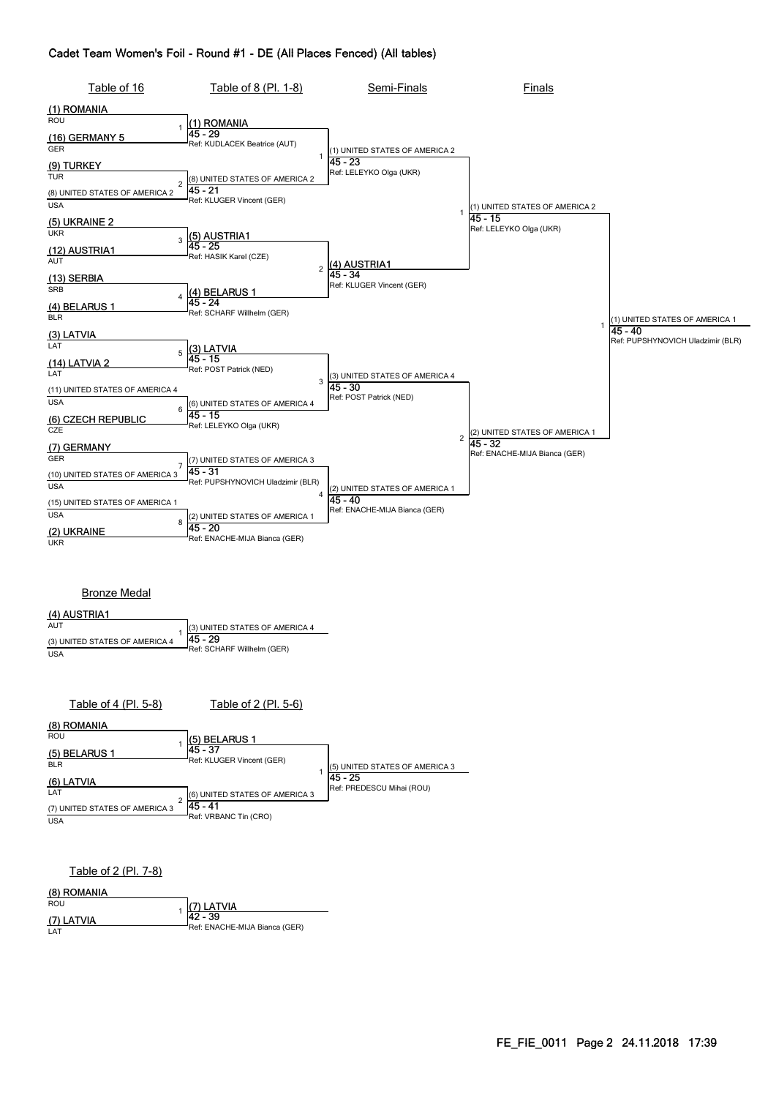#### Cadet Team Women's Foil - Round #1 - DE (All Places Fenced) (All tables)

| Table of 16                                   | Table of 8 (Pl. 1-8)                        | Semi-Finals                                | <b>Finals</b>                             |                                                |
|-----------------------------------------------|---------------------------------------------|--------------------------------------------|-------------------------------------------|------------------------------------------------|
| (1) ROMANIA                                   |                                             |                                            |                                           |                                                |
| ROU                                           | (1) ROMANIA                                 |                                            |                                           |                                                |
| (16) GERMANY 5                                | $45 - 29$                                   |                                            |                                           |                                                |
| <b>GER</b>                                    | Ref: KUDLACEK Beatrice (AUT)                | 1) UNITED STATES OF AMERICA 2              |                                           |                                                |
| (9) TURKEY                                    |                                             | $45 - 23$<br>Ref: LELEYKO Olga (UKR)       |                                           |                                                |
| <b>TUR</b><br>$\overline{2}$                  | (8) UNITED STATES OF AMERICA 2<br>$45 - 21$ |                                            |                                           |                                                |
| (8) UNITED STATES OF AMERICA 2                | Ref: KLUGER Vincent (GER)                   |                                            |                                           |                                                |
| <b>USA</b>                                    |                                             |                                            | (1) UNITED STATES OF AMERICA 2<br>45 - 15 |                                                |
| (5) UKRAINE 2<br><b>UKR</b>                   |                                             |                                            | Ref: LELEYKO Olga (UKR)                   |                                                |
| 3                                             | (5) AUSTRIA1<br>$45 - 25$                   |                                            |                                           |                                                |
| (12) AUSTRIA1<br>AUT                          | Ref: HASIK Karel (CZE)                      | (4) AUSTRIA1                               |                                           |                                                |
| (13) SERBIA                                   | $\overline{2}$                              | $45 - 34$                                  |                                           |                                                |
| <b>SRB</b>                                    | (4) BELARUS 1                               | Ref: KLUGER Vincent (GER)                  |                                           |                                                |
| (4) BELARUS 1                                 | $45 - 24$                                   |                                            |                                           |                                                |
| <b>BLR</b>                                    | Ref: SCHARF Willhelm (GER)                  |                                            |                                           | (1) UNITED STATES OF AMERICA 1                 |
| (3) LATVIA                                    |                                             |                                            |                                           | $45 - 40$<br>Ref: PUPSHYNOVICH Uladzimir (BLR) |
| LAT<br>5                                      | (3) LATVIA                                  |                                            |                                           |                                                |
| (14) LATVIA 2                                 | $45 - 15$<br>Ref: POST Patrick (NED)        |                                            |                                           |                                                |
| LAT                                           | 3                                           | 3) UNITED STATES OF AMERICA 4<br>$45 - 30$ |                                           |                                                |
| (11) UNITED STATES OF AMERICA 4<br><b>USA</b> |                                             | Ref: POST Patrick (NED)                    |                                           |                                                |
| 6                                             | (6) UNITED STATES OF AMERICA 4<br>$45 - 15$ |                                            |                                           |                                                |
| (6) CZECH REPUBLIC<br>CZE                     | Ref: LELEYKO Olga (UKR)                     |                                            | (2) UNITED STATES OF AMERICA 1            |                                                |
| (7) GERMANY                                   |                                             | $\overline{c}$                             | $45 - 32$                                 |                                                |
| GER                                           | (7) UNITED STATES OF AMERICA 3              |                                            | Ref: ENACHE-MIJA Bianca (GER)             |                                                |
| 7<br>(10) UNITED STATES OF AMERICA 3          | $45 - 31$                                   |                                            |                                           |                                                |
| <b>USA</b>                                    | Ref: PUPSHYNOVICH Uladzimir (BLR)<br>4      | (2) UNITED STATES OF AMERICA 1             |                                           |                                                |
| (15) UNITED STATES OF AMERICA 1               |                                             | $45 - 40$                                  |                                           |                                                |
| <b>USA</b><br>8                               | (2) UNITED STATES OF AMERICA 1              | Ref: ENACHE-MIJA Bianca (GER)              |                                           |                                                |
| (2) UKRAINE                                   | $45 - 20$<br>Ref: ENACHE-MIJA Bianca (GER)  |                                            |                                           |                                                |
| <b>UKR</b>                                    |                                             |                                            |                                           |                                                |
|                                               |                                             |                                            |                                           |                                                |
|                                               |                                             |                                            |                                           |                                                |

#### Bronze Medal

| (4) AUSTRIA1                   |                                |
|--------------------------------|--------------------------------|
| AUT                            | (3) UNITED STATES OF AMERICA 4 |
| (3) UNITED STATES OF AMERICA 4 | 145 - 29                       |
| USA                            | Ref: SCHARF Willhelm (GER)     |

| Table of 4 (Pl. 5-8)                     | Table of 2 (Pl. 5-6)                  |                                       |
|------------------------------------------|---------------------------------------|---------------------------------------|
| (8) ROMANIA<br><b>ROU</b>                | (5) BELARUS 1                         |                                       |
| (5) BELARUS 1<br><b>BLR</b>              | 145 - 37<br>Ref: KLUGER Vincent (GER) | (5) UNITED STATES OF AMERICA 3        |
| (6) LATVIA<br>LAT<br>$\mathfrak{p}$      | (6) UNITED STATES OF AMERICA 3        | 145 - 25<br>Ref: PREDESCU Mihai (ROU) |
| UNITED STATES OF AMERICA 3<br><b>USA</b> | 45 - 41<br>Ref: VRBANC Tin (CRO)      |                                       |

#### Table of 2 (Pl. 7-8)

(7) LATVIA<br>42 - 39<br>Ref: ENACHE-MIJA Bianca (GER) 1 **(8) ROMANIA**<br>ROU (7) LATVIA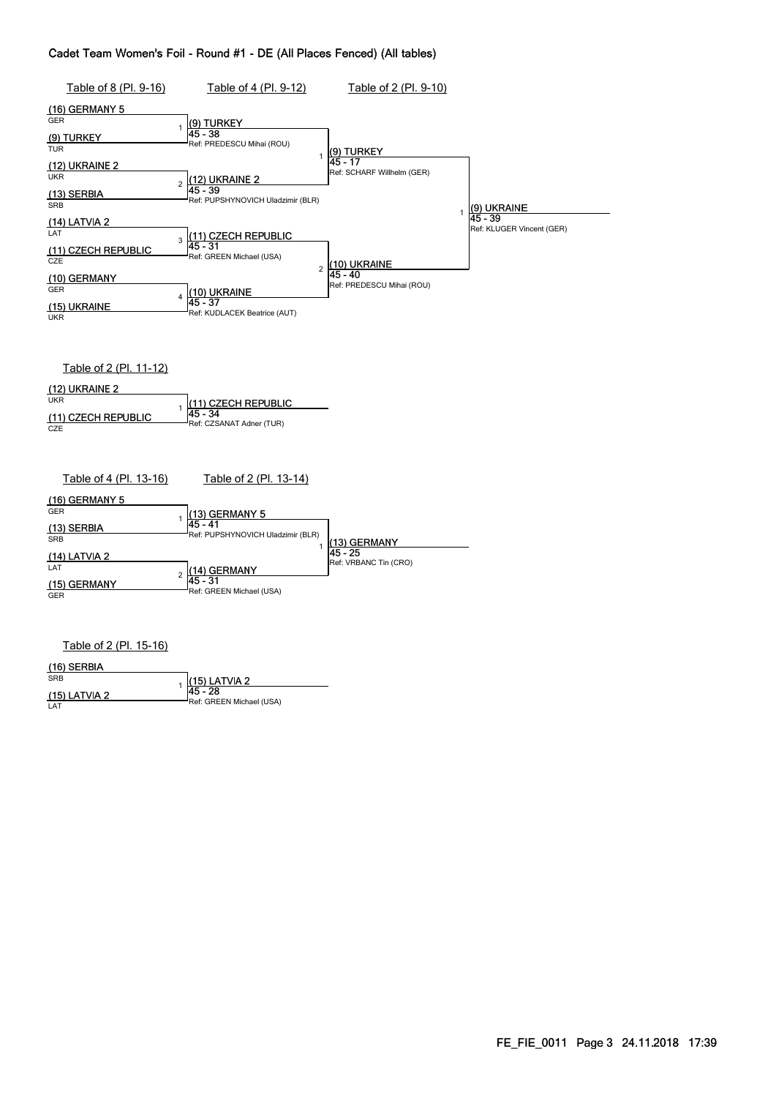#### Cadet Team Women's Foil - Round #1 - DE (All Places Fenced) (All tables)

| Table of 8 (Pl. 9-16)                                                                                                                                                                                                                          | Table of 4 (Pl. 9-12)                                                                                                                                                                                                                                                                                                 | Table of 2 (Pl. 9-10)                                                                                       |                                                                     |
|------------------------------------------------------------------------------------------------------------------------------------------------------------------------------------------------------------------------------------------------|-----------------------------------------------------------------------------------------------------------------------------------------------------------------------------------------------------------------------------------------------------------------------------------------------------------------------|-------------------------------------------------------------------------------------------------------------|---------------------------------------------------------------------|
| <u>(16) GERMANY 5</u><br>GER<br><u>(9) TURKEY</u><br><b>TUR</b><br>(12) UKRAINE 2<br><b>UKR</b><br>(13) SERBIA<br>SRB<br><u>(14) LATVIA 2</u><br>LAT<br>(11) CZECH REPUBLIC<br>CZE<br>(10) GERMANY<br>GER<br><u>(15) UKRAINE</u><br><b>UKR</b> | (9) TURKEY<br>$\mathbf{1}$<br>$45 - 38$<br>Ref: PREDESCU Mihai (ROU)<br>1<br>12) UKRAINE 2<br>$\overline{2}$<br>$45 - 39$<br>Ref: PUPSHYNOVICH Uladzimir (BLR)<br>(11) CZECH REPUBLIC<br>3<br>45 - 31<br>Ref: GREEN Michael (USA)<br>$\overline{c}$<br>(10) UKRAINE<br>4<br>$45 - 37$<br>Ref: KUDLACEK Beatrice (AUT) | (9) TURKEY<br>45 - 17<br>Ref: SCHARF Willhelm (GER)<br>(10) UKRAINE<br>45 - 40<br>Ref: PREDESCU Mihai (ROU) | (9) UKRAINE<br>$\mathbf{1}$<br>45 - 39<br>Ref: KLUGER Vincent (GER) |
| Table of 2 (Pl. 11-12)<br>$(12)$ UKRAINE 2<br><b>UKR</b><br>(11) CZECH REPUBLIC<br>CZE                                                                                                                                                         | (11) CZECH REPUBLIC<br>1<br>$45 - 34$<br>Ref: CZSANAT Adner (TUR)                                                                                                                                                                                                                                                     |                                                                                                             |                                                                     |
| Table of 4 (Pl. 13-16)<br><u>(16) GERMANY 5</u><br>GER<br><u>(13) SERBIA</u><br>SRB<br>(14) LATVIA 2<br>LAT<br><u>(15) GERMANY</u><br>GER                                                                                                      | Table of 2 (Pl. 13-14)<br>(13) GERMANY 5<br>1<br>45 - 41<br>Ref: PUPSHYNOVICH Uladzimir (BLR)<br>$\mathbf{1}$<br>14) GERMANY<br>$\overline{2}$<br>$45 - 31$<br>Ref: GREEN Michael (USA)                                                                                                                               | (13) GERMANY<br>$45 - 25$<br>Ref: VRBANC Tin (CRO)                                                          |                                                                     |
| Table of 2 (Pl. 15-16)<br>(16) SERBIA<br><b>SRB</b><br>(15) LATVIA 2<br>LAT                                                                                                                                                                    | (15) LATVIA 2<br>45 - 28<br>Ref: GREEN Michael (USA)                                                                                                                                                                                                                                                                  |                                                                                                             |                                                                     |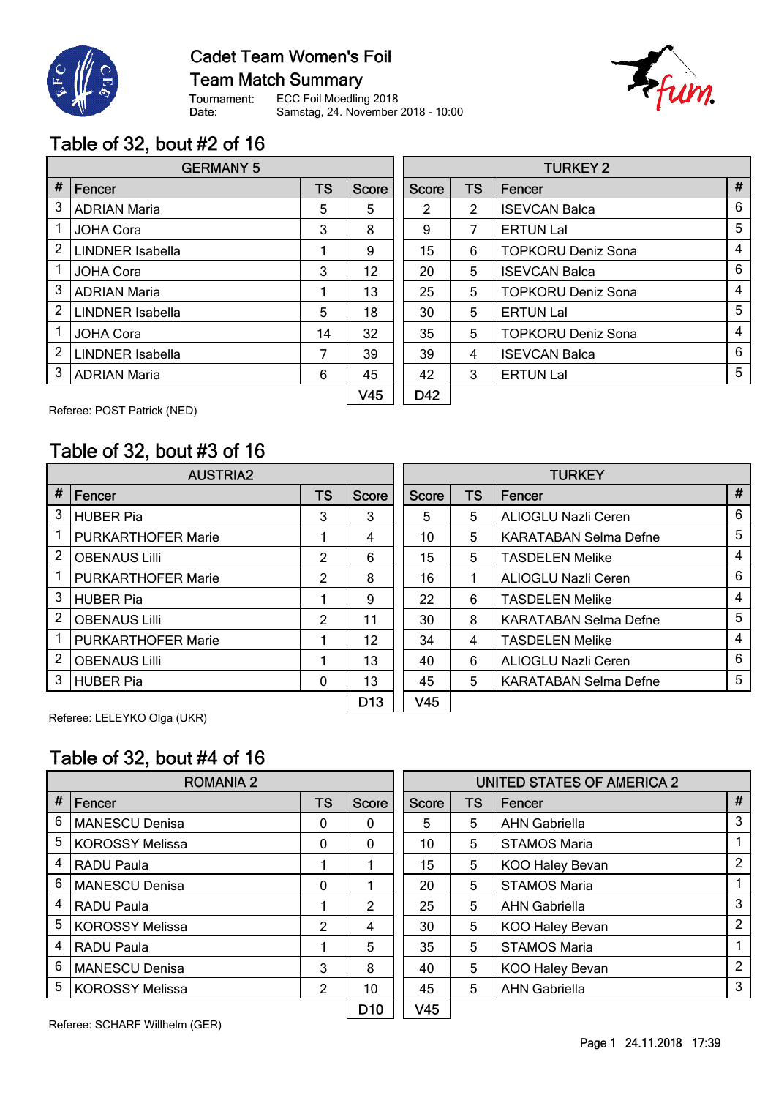

**Team Match Summary** 

fum.

Tournament:<br>Date: ECC Foil Moedling 2018 Samstag, 24. November 2018 - 10:00

# Table of 32, bout #2 of 16

|                | <b>GERMANY 5</b>        |           |                 |       | <b>TURKEY 2</b> |                           |                |
|----------------|-------------------------|-----------|-----------------|-------|-----------------|---------------------------|----------------|
| #              | <b>Fencer</b>           | <b>TS</b> | <b>Score</b>    | Score | <b>TS</b>       | Fencer                    | #              |
| 3              | <b>ADRIAN Maria</b>     | 5         | 5               | 2     | 2               | <b>ISEVCAN Balca</b>      | -6             |
|                | <b>JOHA Cora</b>        | 3         | 8               | 9     | 7               | <b>ERTUN Lal</b>          | 5              |
| $\overline{2}$ | <b>LINDNER Isabella</b> |           | 9               | 15    | 6               | <b>TOPKORU Deniz Sona</b> | 4              |
|                | <b>JOHA Cora</b>        | 3         | 12              | 20    | 5               | <b>ISEVCAN Balca</b>      | -6             |
| 3              | <b>ADRIAN Maria</b>     |           | 13              | 25    | 5               | <b>TOPKORU Deniz Sona</b> | $\overline{4}$ |
| $\overline{2}$ | LINDNER Isabella        | 5         | 18              | 30    | 5               | <b>ERTUN Lal</b>          | 5              |
|                | <b>JOHA Cora</b>        | 14        | 32              | 35    | 5               | <b>TOPKORU Deniz Sona</b> | $\overline{4}$ |
| $\overline{2}$ | <b>LINDNER Isabella</b> | 7         | 39              | 39    | 4               | <b>ISEVCAN Balca</b>      | 6              |
| 3              | <b>ADRIAN Maria</b>     | 6         | 45              | 42    | 3               | <b>ERTUN Lal</b>          | 5              |
|                |                         |           | V <sub>45</sub> | D42   |                 |                           |                |

Referee: POST Patrick (NED)

#### Table of 32, bout #3 of 16

|                | <b>AUSTRIA2</b>                                                          |                |                 |                 |           | <b>TURKEY</b>                |   |
|----------------|--------------------------------------------------------------------------|----------------|-----------------|-----------------|-----------|------------------------------|---|
| #              | Fencer                                                                   | <b>TS</b>      | Score           | <b>Score</b>    | <b>TS</b> | Fencer                       | Ħ |
| 3              | <b>HUBER Pia</b>                                                         | 3              | 3               | 5               | 5         | ALIOGLU Nazli Ceren          | 6 |
|                | <b>PURKARTHOFER Marie</b>                                                |                | 4               | 10              | 5         | <b>KARATABAN Selma Defne</b> | 5 |
| $\overline{2}$ | <b>OBENAUS Lilli</b>                                                     | $\overline{2}$ | 6               | 15              | 5         | <b>TASDELEN Melike</b>       | 4 |
|                | <b>PURKARTHOFER Marie</b>                                                | $\overline{2}$ | 8               | 16              |           | ALIOGLU Nazli Ceren          | 6 |
| 3              | <b>HUBER Pia</b>                                                         |                | 9               | 22              | 6         | <b>TASDELEN Melike</b>       | 4 |
| $\overline{2}$ | <b>OBENAUS Lilli</b>                                                     | 2              | 11              | 30              | 8         | <b>KARATABAN Selma Defne</b> | 5 |
|                | <b>PURKARTHOFER Marie</b>                                                |                | 12              | 34              | 4         | <b>TASDELEN Melike</b>       | 4 |
| $\overline{2}$ | <b>OBENAUS Lilli</b>                                                     |                | 13              | 40              | 6         | ALIOGLU Nazli Ceren          | 6 |
| 3              | <b>HUBER Pia</b>                                                         | 0              | 13              | 45              | 5         | <b>KARATABAN Selma Defne</b> | 5 |
|                |                                                                          |                | D <sub>13</sub> | V <sub>45</sub> |           |                              |   |
|                | $P(f_1, \ldots, f_n)$ is $P(f_1, \ldots, f_n)$ and $P(f_2, \ldots, f_n)$ |                |                 |                 |           |                              |   |

|       | <b>TURKEY</b> |                            |   |  |  |  |  |
|-------|---------------|----------------------------|---|--|--|--|--|
| Score | <b>TS</b>     | Fencer                     | # |  |  |  |  |
| 5     | 5             | <b>ALIOGLU Nazli Ceren</b> | 6 |  |  |  |  |
| 10    | 5             | KARATABAN Selma Defne      | 5 |  |  |  |  |
| 15    | 5             | <b>TASDELEN Melike</b>     | 4 |  |  |  |  |
| 16    | 1             | ALIOGLU Nazli Ceren        | 6 |  |  |  |  |
| 22    | 6             | <b>TASDELEN Melike</b>     | 4 |  |  |  |  |
| 30    | 8             | KARATABAN Selma Defne      | 5 |  |  |  |  |
| 34    | 4             | <b>TASDELEN Melike</b>     | 4 |  |  |  |  |
| 40    | 6             | <b>ALIOGLU Nazli Ceren</b> | 6 |  |  |  |  |
| 45    | 5             | KARATABAN Selma Defne      | 5 |  |  |  |  |
| V45   |               |                            |   |  |  |  |  |

Referee: LELEYKO Olga (UKR)

#### Table of 32, bout #4 of 16

| <b>ROMANIA 2</b> |                        |                |                 | <b>UNITED STATES OF AMERICA 2</b> |           |                        |                |
|------------------|------------------------|----------------|-----------------|-----------------------------------|-----------|------------------------|----------------|
| #                | Fencer                 | TS             | <b>Score</b>    | Score                             | <b>TS</b> | Fencer                 | #              |
| 6                | <b>MANESCU Denisa</b>  | 0              | 0               | 5                                 | 5         | <b>AHN Gabriella</b>   | 3              |
| 5                | <b>KOROSSY Melissa</b> | 0              | 0               | 10                                | 5         | <b>STAMOS Maria</b>    |                |
| 4                | <b>RADU Paula</b>      |                |                 | 15                                | 5         | KOO Haley Bevan        | 2              |
| 6                | <b>MANESCU Denisa</b>  | 0              |                 | 20                                | 5         | <b>STAMOS Maria</b>    |                |
| 4                | <b>RADU Paula</b>      |                | 2               | 25                                | 5         | <b>AHN Gabriella</b>   | 3              |
| 5                | <b>KOROSSY Melissa</b> | $\mathfrak{p}$ | 4               | 30                                | 5         | <b>KOO Haley Bevan</b> | 2              |
| 4                | <b>RADU Paula</b>      |                | 5               | 35                                | 5         | <b>STAMOS Maria</b>    |                |
| 6                | <b>MANESCU Denisa</b>  | 3              | 8               | 40                                | 5         | <b>KOO Haley Bevan</b> | $\overline{2}$ |
| 5                | <b>KOROSSY Melissa</b> | 2              | 10              | 45                                | 5         | <b>AHN Gabriella</b>   | 3              |
|                  |                        |                | D <sub>10</sub> | V <sub>45</sub>                   |           |                        |                |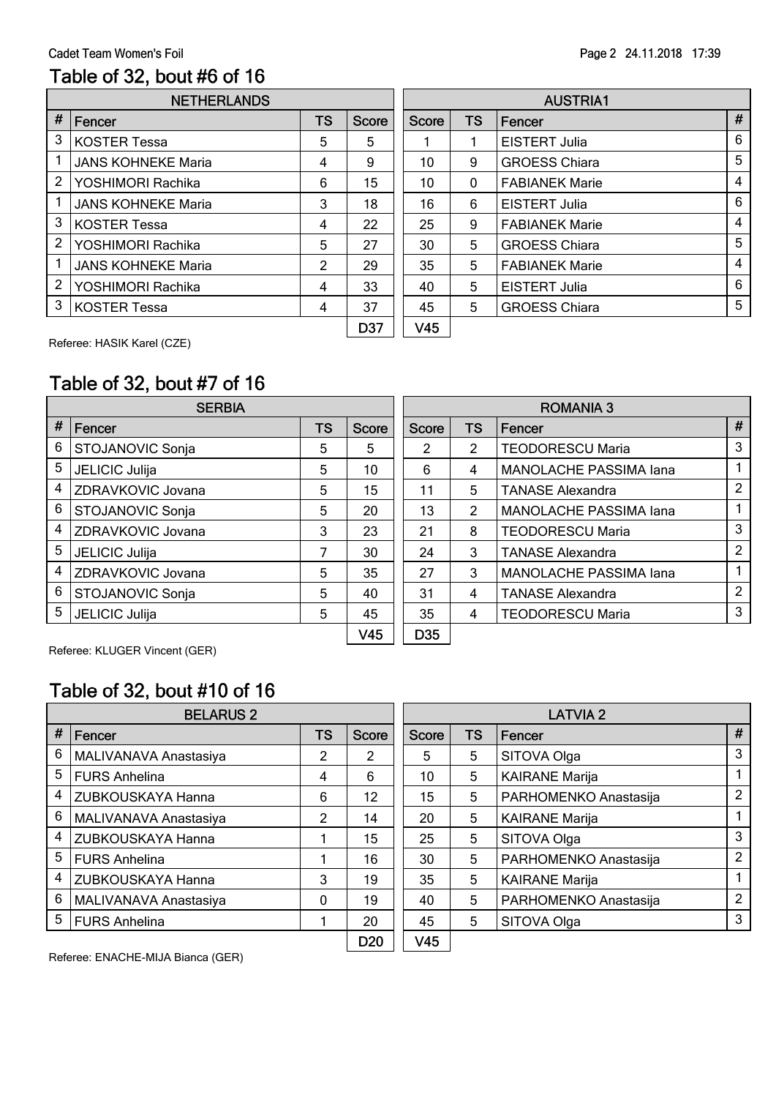#### Table of 32, bout #6 of 16

|                | <b>NETHERLANDS</b>        |                |              | <b>AUSTRIA1</b> |           |                       |   |  |
|----------------|---------------------------|----------------|--------------|-----------------|-----------|-----------------------|---|--|
| #              | Fencer                    | <b>TS</b>      | <b>Score</b> | <b>Score</b>    | <b>TS</b> | Fencer                | Ħ |  |
| 3              | <b>KOSTER Tessa</b>       | 5              | 5            |                 |           | <b>EISTERT Julia</b>  | 6 |  |
|                | <b>JANS KOHNEKE Maria</b> | 4              | 9            | 10              | 9         | <b>GROESS Chiara</b>  | 5 |  |
| $\overline{2}$ | YOSHIMORI Rachika         | 6              | 15           | 10              | 0         | <b>FABIANEK Marie</b> | 4 |  |
|                | <b>JANS KOHNEKE Maria</b> | 3              | 18           | 16              | 6         | <b>EISTERT Julia</b>  | 6 |  |
| 3              | <b>KOSTER Tessa</b>       | 4              | 22           | 25              | 9         | <b>FABIANEK Marie</b> | 4 |  |
| 2              | YOSHIMORI Rachika         | 5              | 27           | 30              | 5         | <b>GROESS Chiara</b>  | 5 |  |
|                | <b>JANS KOHNEKE Maria</b> | $\overline{2}$ | 29           | 35              | 5         | <b>FABIANEK Marie</b> | 4 |  |
| 2              | YOSHIMORI Rachika         | 4              | 33           | 40              | 5         | <b>EISTERT Julia</b>  | 6 |  |
| 3              | <b>KOSTER Tessa</b>       | 4              | 37           | 45              | 5         | <b>GROESS Chiara</b>  | 5 |  |
|                |                           |                | <b>MAR</b>   |                 |           |                       |   |  |

|              |              |           | <b>AUSTRIA1</b>       |   |
|--------------|--------------|-----------|-----------------------|---|
| <b>Score</b> | <b>Score</b> | <b>TS</b> | Fencer                | # |
| 5            |              |           | <b>EISTERT Julia</b>  | 6 |
| 9            | 10           | 9         | <b>GROESS Chiara</b>  | 5 |
| 15           | 10           | 0         | <b>FABIANEK Marie</b> | 4 |
| 18           | 16           | 6         | <b>EISTERT Julia</b>  | 6 |
| 22           | 25           | 9         | <b>FABIANEK Marie</b> | 4 |
| 27           | 30           | 5         | <b>GROESS Chiara</b>  | 5 |
| 29           | 35           | 5         | <b>FABIANEK Marie</b> | 4 |
| 33           | 40           | 5         | <b>EISTERT Julia</b>  | 6 |
| 37           | 45           | 5         | <b>GROESS Chiara</b>  | 5 |
| D37          | V45          |           |                       |   |

Referee: HASIK Karel (CZE)

### Table of 32, bout #7 of 16

|                 | <b>SERBIA</b>     |           |                 | <b>ROMANIA 3</b> |                |                         |   |
|-----------------|-------------------|-----------|-----------------|------------------|----------------|-------------------------|---|
| #               | Fencer            | <b>TS</b> | <b>Score</b>    | <b>Score</b>     | <b>TS</b>      | Fencer                  | ħ |
| 6               | STOJANOVIC Sonja  | 5         | 5               | $\overline{2}$   | $\overline{2}$ | <b>TEODORESCU Maria</b> | 3 |
| 5               | JELICIC Julija    | 5         | 10              | 6                | 4              | MANOLACHE PASSIMA lana  |   |
| 4               | ZDRAVKOVIC Jovana | 5         | 15              | 11               | 5              | <b>TANASE Alexandra</b> | ∠ |
| 6               | STOJANOVIC Sonja  | 5         | 20              | 13               | $\overline{2}$ | MANOLACHE PASSIMA lana  |   |
| 4               | ZDRAVKOVIC Jovana | 3         | 23              | 21               | 8              | <b>TEODORESCU Maria</b> | 3 |
| 5               | JELICIC Julija    | 7         | 30              | 24               | 3              | <b>TANASE Alexandra</b> | 2 |
| 4               | ZDRAVKOVIC Jovana | 5         | 35              | 27               | 3              | MANOLACHE PASSIMA lana  |   |
| 6               | STOJANOVIC Sonja  | 5         | 40              | 31               | 4              | <b>TANASE Alexandra</b> | 2 |
| $5\phantom{.0}$ | JELICIC Julija    | 5         | 45              | 35               | $\overline{4}$ | <b>TEODORESCU Maria</b> | 3 |
|                 |                   |           | V <sub>45</sub> | D35              |                |                         |   |

Referee: KLUGER Vincent (GER)

### Table of 32, bout #10 of 16

|      | <b>BELARUS 2</b>             |                |                 | <b>LATVIA 2</b> |           |                       |                |
|------|------------------------------|----------------|-----------------|-----------------|-----------|-----------------------|----------------|
| $\#$ | Fencer                       | <b>TS</b>      | <b>Score</b>    | <b>Score</b>    | <b>TS</b> | Fencer                | #              |
| 6    | <b>MALIVANAVA Anastasiya</b> | 2              | 2               | 5               | 5         | SITOVA Olga           | 3              |
| 5    | <b>FURS Anhelina</b>         | 4              | 6               | 10              | 5         | <b>KAIRANE Marija</b> |                |
| 4    | ZUBKOUSKAYA Hanna            | 6              | 12              | 15              | 5         | PARHOMENKO Anastasija | $\mathcal{P}$  |
| 6    | <b>MALIVANAVA Anastasiya</b> | $\mathfrak{p}$ | 14              | 20              | 5         | <b>KAIRANE Marija</b> |                |
| 4    | ZUBKOUSKAYA Hanna            |                | 15              | 25              | 5         | SITOVA Olga           | 3              |
| 5    | <b>FURS Anhelina</b>         |                | 16              | 30              | 5         | PARHOMENKO Anastasija | $\overline{2}$ |
| 4    | ZUBKOUSKAYA Hanna            | 3              | 19              | 35              | 5         | <b>KAIRANE Marija</b> |                |
| 6    | <b>MALIVANAVA Anastasiya</b> | 0              | 19              | 40              | 5         | PARHOMENKO Anastasija | $\overline{2}$ |
| 5    | <b>FURS Anhelina</b>         |                | 20              | 45              | 5         | SITOVA Olga           | 3              |
|      |                              |                | D <sub>20</sub> | V <sub>45</sub> |           |                       |                |

Referee: ENACHE-MIJA Bianca (GER)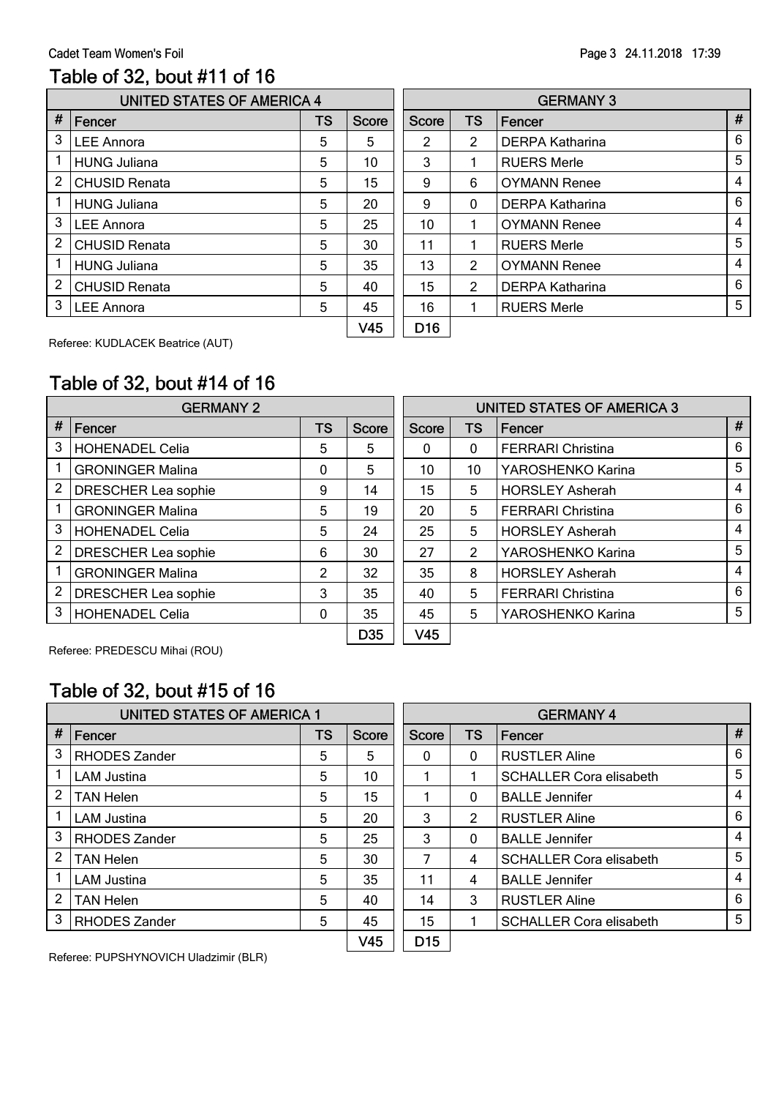#### Table of 32, bout #11 of 16

|                | <b>UNITED STATES OF AMERICA 4</b> |           |                  | <b>GERMANY 3</b> |                      |                        |   |  |
|----------------|-----------------------------------|-----------|------------------|------------------|----------------------|------------------------|---|--|
| #              | Fencer                            | <b>TS</b> | <b>Score</b>     | <b>Score</b>     | <b>TS</b>            | Fencer                 | Ħ |  |
| 3              | <b>LEE Annora</b>                 | 5         | 5                | 2                | $\mathbf{2}^{\circ}$ | <b>DERPA Katharina</b> | 6 |  |
|                | <b>HUNG Juliana</b>               | 5         | 10               | 3                |                      | <b>RUERS Merle</b>     | 5 |  |
| $\overline{2}$ | <b>CHUSID Renata</b>              | 5         | 15 <sub>15</sub> | 9                | 6                    | <b>OYMANN Renee</b>    | 4 |  |
|                | <b>HUNG Juliana</b>               | 5         | 20               | 9                | $\Omega$             | <b>DERPA Katharina</b> | 6 |  |
| 3              | <b>LEE Annora</b>                 | 5         | 25               | 10               |                      | <b>OYMANN Renee</b>    | 4 |  |
| 2              | <b>CHUSID Renata</b>              | 5         | 30               | 11               |                      | <b>RUERS Merle</b>     | 5 |  |
|                | <b>HUNG Juliana</b>               | 5         | 35               | 13               | $\mathbf{2}^{\circ}$ | <b>OYMANN Renee</b>    | 4 |  |
| $\overline{2}$ | <b>CHUSID Renata</b>              | 5         | 40               | 15               | $\overline{2}$       | <b>DERPA Katharina</b> | 6 |  |
| 3              | <b>LEE Annora</b>                 | 5         | 45               | 16               |                      | <b>RUERS Merle</b>     | 5 |  |
|                |                                   |           | V <sub>45</sub>  | D <sub>16</sub>  |                      |                        |   |  |

|                 |                 |           | <b>GERMANY 3</b>       |   |
|-----------------|-----------------|-----------|------------------------|---|
| Score           | <b>Score</b>    | <b>TS</b> | Fencer                 | # |
| 5               | 2               | 2         | <b>DERPA Katharina</b> | 6 |
| 10              | 3               | 1         | <b>RUERS Merle</b>     | 5 |
| 15              | 9               | 6         | <b>OYMANN Renee</b>    | 4 |
| 20              | 9               | 0         | <b>DERPA Katharina</b> | 6 |
| 25              | 10              | 1         | <b>OYMANN Renee</b>    | 4 |
| 30              | 11              | 1         | <b>RUERS Merle</b>     | 5 |
| 35              | 13              | 2         | <b>OYMANN Renee</b>    | 4 |
| 40              | 15              | 2         | <b>DERPA Katharina</b> | 6 |
| 45              | 16              | 1         | <b>RUERS Merle</b>     | 5 |
| V <sub>45</sub> | D <sub>16</sub> |           |                        |   |

Referee: KUDLACEK Beatrice (AUT)

# Table of 32, bout #14 of 16

|                | <b>GERMANY 2</b>        |                |              |                 |                | <b>UNITED STATES OF AMERICA 3</b> |   |
|----------------|-------------------------|----------------|--------------|-----------------|----------------|-----------------------------------|---|
| #              | Fencer                  | TS             | <b>Score</b> | <b>Score</b>    | <b>TS</b>      | Fencer                            | Ħ |
| 3              | <b>HOHENADEL Celia</b>  | 5              | 5            | 0               | 0              | <b>FERRARI Christina</b>          | 6 |
|                | <b>GRONINGER Malina</b> | $\mathbf{0}$   | 5            | 10              | 10             | YAROSHENKO Karina                 | 5 |
| $\overline{2}$ | DRESCHER Lea sophie     | 9              | 14           | 15              | 5              | <b>HORSLEY Asherah</b>            | 4 |
|                | <b>GRONINGER Malina</b> | 5              | 19           | 20              | 5              | <b>FERRARI Christina</b>          | 6 |
| 3              | <b>HOHENADEL Celia</b>  | 5              | 24           | 25              | 5              | <b>HORSLEY Asherah</b>            | 4 |
| $\overline{2}$ | DRESCHER Lea sophie     | 6              | 30           | 27              | $\overline{2}$ | YAROSHENKO Karina                 | 5 |
|                | <b>GRONINGER Malina</b> | $\overline{2}$ | 32           | 35              | 8              | <b>HORSLEY Asherah</b>            | 4 |
| 2              | DRESCHER Lea sophie     | 3              | 35           | 40              | 5              | <b>FERRARI Christina</b>          | 6 |
| 3              | <b>HOHENADEL Celia</b>  | $\mathbf{0}$   | 35           | 45              | 5              | YAROSHENKO Karina                 | 5 |
|                |                         |                | D35          | V <sub>45</sub> |                |                                   |   |

Referee: PREDESCU Mihai (ROU)

# Table of 32, bout #15 of 16

|                | <b>UNITED STATES OF AMERICA 1</b> |    |                 | <b>GERMANY 4</b> |                |                                |                |  |
|----------------|-----------------------------------|----|-----------------|------------------|----------------|--------------------------------|----------------|--|
| #              | Fencer                            | TS | Score           | Score            | TS             | Fencer                         | #              |  |
| 3              | <b>RHODES Zander</b>              | 5  | 5               | 0                | 0              | <b>RUSTLER Aline</b>           | 6              |  |
|                | <b>LAM Justina</b>                | 5  | 10              |                  |                | <b>SCHALLER Cora elisabeth</b> | 5              |  |
| $\overline{2}$ | <b>TAN Helen</b>                  | 5  | 15              |                  | 0              | <b>BALLE</b> Jennifer          | $\overline{4}$ |  |
|                | <b>LAM Justina</b>                | 5  | 20              | 3                | $\overline{2}$ | <b>RUSTLER Aline</b>           | 6              |  |
| 3              | <b>RHODES Zander</b>              | 5  | 25              | 3                | $\Omega$       | <b>BALLE Jennifer</b>          | 4              |  |
| $\overline{c}$ | <b>TAN Helen</b>                  | 5  | 30              |                  | 4              | SCHALLER Cora elisabeth        | 5              |  |
|                | LAM Justina                       | 5  | 35              | 11               | 4              | <b>BALLE Jennifer</b>          | 4              |  |
| $\overline{2}$ | <b>TAN Helen</b>                  | 5  | 40              | 14               | 3              | <b>RUSTLER Aline</b>           | 6              |  |
| 3              | <b>RHODES Zander</b>              | 5  | 45              | 15               |                | <b>SCHALLER Cora elisabeth</b> | 5              |  |
|                |                                   |    | V <sub>45</sub> | D <sub>15</sub>  |                |                                |                |  |

Referee: PUPSHYNOVICH Uladzimir (BLR)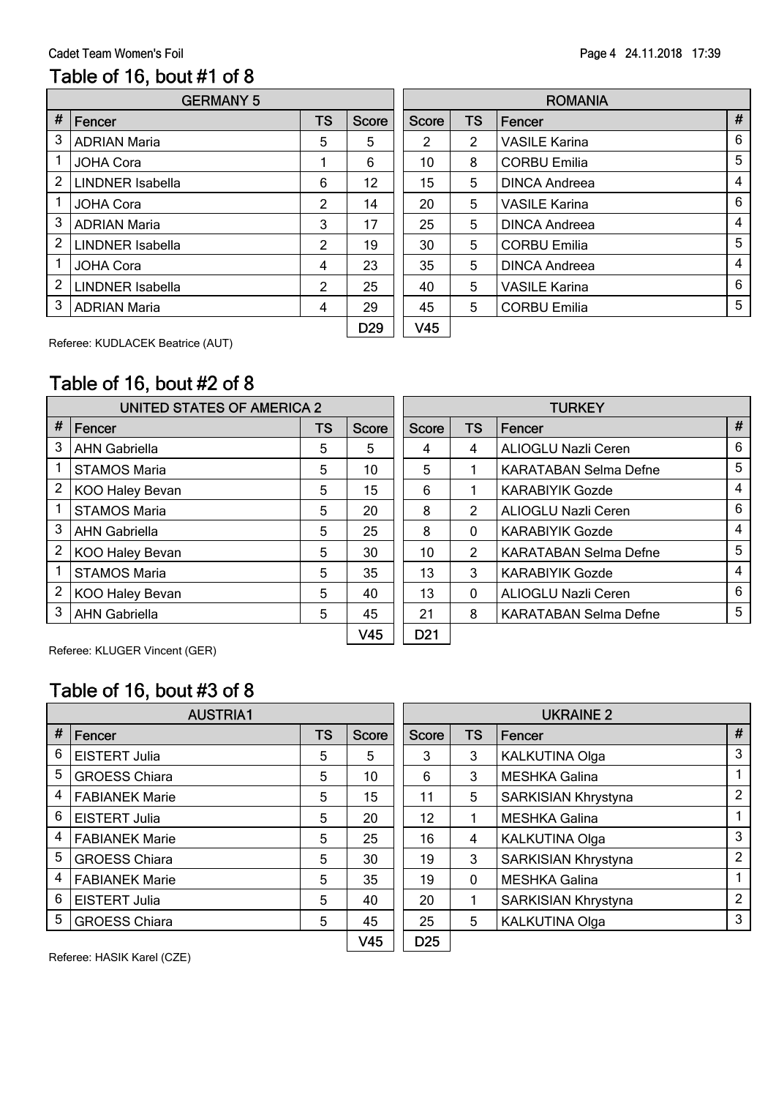#### Page 4 24.11.2018 17:39

#### Table of 16, bout #1 of 8

|                | <b>GERMANY 5</b>        |                |                   | <b>ROMANIA</b> |                       |                      |   |  |
|----------------|-------------------------|----------------|-------------------|----------------|-----------------------|----------------------|---|--|
| #              | Fencer                  | <b>TS</b>      | <b>Score</b>      | <b>Score</b>   | <b>TS</b>             | Fencer               | Ħ |  |
| 3              | <b>ADRIAN Maria</b>     | 5              | 5                 | $\overline{2}$ | $\mathbf{2}^{\prime}$ | <b>VASILE Karina</b> | 6 |  |
|                | <b>JOHA Cora</b>        |                | 6                 | 10             | 8                     | <b>CORBU Emilia</b>  | 5 |  |
| $\overline{2}$ | LINDNER Isabella        | 6              | $12 \overline{ }$ | 15             | 5                     | <b>DINCA Andreea</b> | 4 |  |
|                | <b>JOHA Cora</b>        | $\overline{2}$ | 14                | 20             | 5                     | <b>VASILE Karina</b> | 6 |  |
| 3              | <b>ADRIAN Maria</b>     | 3              | 17                | 25             | 5                     | <b>DINCA Andreea</b> | 4 |  |
| 2              | LINDNER Isabella        | 2              | 19                | 30             | 5                     | <b>CORBU Emilia</b>  | 5 |  |
|                | <b>JOHA Cora</b>        | 4              | 23                | 35             | 5                     | <b>DINCA Andreea</b> | 4 |  |
| 2              | <b>LINDNER Isabella</b> | 2              | 25                | 40             | 5                     | <b>VASILE Karina</b> | 6 |  |
| 3              | <b>ADRIAN Maria</b>     | 4              | 29                | 45             | 5                     | <b>CORBU Emilia</b>  | 5 |  |
|                |                         |                | <u>מכת</u>        | <b>MAR</b>     |                       |                      |   |  |

|                   | <b>ROMANIA</b>  |           |                      |   |  |  |  |  |  |
|-------------------|-----------------|-----------|----------------------|---|--|--|--|--|--|
| <b>Score</b>      | <b>Score</b>    | <b>TS</b> | Fencer               | # |  |  |  |  |  |
| 5                 | 2               | 2         | <b>VASILE Karina</b> | 6 |  |  |  |  |  |
| 6                 | 10              | 8         | <b>CORBU Emilia</b>  | 5 |  |  |  |  |  |
| $12 \overline{ }$ | 15              | 5         | <b>DINCA Andreea</b> | 4 |  |  |  |  |  |
| 14                | 20              | 5         | <b>VASILE Karina</b> | 6 |  |  |  |  |  |
| 17                | 25              | 5         | <b>DINCA Andreea</b> | 4 |  |  |  |  |  |
| 19                | 30              | 5         | <b>CORBU Emilia</b>  | 5 |  |  |  |  |  |
| 23                | 35              | 5         | <b>DINCA Andreea</b> | 4 |  |  |  |  |  |
| 25                | 40              | 5         | <b>VASILE Karina</b> | 6 |  |  |  |  |  |
| 29                | 45              | 5         | <b>CORBU Emilia</b>  | 5 |  |  |  |  |  |
| D29               | V <sub>45</sub> |           |                      |   |  |  |  |  |  |

Referee: KUDLACEK Beatrice (AUT)

### Table of 16, bout #2 of 8

|                | <b>UNITED STATES OF AMERICA 2</b> |    |                 | <b>TURKEY</b>   |                |                              |   |
|----------------|-----------------------------------|----|-----------------|-----------------|----------------|------------------------------|---|
| #              | Fencer                            | TS | Score           | <b>Score</b>    | <b>TS</b>      | Fencer                       | # |
| 3              | <b>AHN Gabriella</b>              | 5  | 5               | 4               | 4              | ALIOGLU Nazli Ceren          | 6 |
|                | <b>STAMOS Maria</b>               | 5  | 10              | 5               |                | <b>KARATABAN Selma Defne</b> | 5 |
| 2              | <b>KOO Haley Bevan</b>            | 5  | 15              | 6               |                | <b>KARABIYIK Gozde</b>       | 4 |
|                | <b>STAMOS Maria</b>               | 5  | 20              | 8               | $\overline{2}$ | ALIOGLU Nazli Ceren          | 6 |
| 3              | <b>AHN Gabriella</b>              | 5  | 25              | 8               | 0              | <b>KARABIYIK Gozde</b>       | 4 |
| $\overline{2}$ | KOO Haley Bevan                   | 5  | 30              | 10              | $\overline{2}$ | <b>KARATABAN Selma Defne</b> | 5 |
|                | <b>STAMOS Maria</b>               | 5  | 35              | 13              | 3              | <b>KARABIYIK Gozde</b>       | 4 |
| 2              | KOO Haley Bevan                   | 5  | 40              | 13              | 0              | ALIOGLU Nazli Ceren          | 6 |
| 3              | <b>AHN Gabriella</b>              | 5  | 45              | 21              | 8              | <b>KARATABAN Selma Defne</b> | 5 |
|                |                                   |    | V <sub>45</sub> | D <sub>21</sub> |                |                              |   |

Referee: KLUGER Vincent (GER)

#### Table of 16, bout #3 of 8

|   | <b>AUSTRIA1</b>       |           | <b>UKRAINE 2</b> |                 |    |                            |                |
|---|-----------------------|-----------|------------------|-----------------|----|----------------------------|----------------|
| # | Fencer                | <b>TS</b> | <b>Score</b>     | <b>Score</b>    | TS | Fencer                     | #              |
| 6 | <b>EISTERT Julia</b>  | 5         | 5                | 3               | 3  | <b>KALKUTINA Olga</b>      | 3              |
| 5 | <b>GROESS Chiara</b>  | 5         | 10               | 6               | 3  | <b>MESHKA Galina</b>       |                |
| 4 | <b>FABIANEK Marie</b> | 5         | 15               | 11              | 5  | <b>SARKISIAN Khrystyna</b> | 2              |
| 6 | <b>EISTERT Julia</b>  | 5         | 20               | 12              |    | <b>MESHKA Galina</b>       |                |
| 4 | <b>FABIANEK Marie</b> | 5         | 25               | 16              | 4  | <b>KALKUTINA Olga</b>      | 3              |
| 5 | <b>GROESS Chiara</b>  | 5         | 30               | 19              | 3  | <b>SARKISIAN Khrystyna</b> | $\overline{2}$ |
| 4 | <b>FABIANEK Marie</b> | 5         | 35               | 19              | 0  | <b>MESHKA Galina</b>       |                |
| 6 | <b>EISTERT Julia</b>  | 5         | 40               | 20              |    | <b>SARKISIAN Khrystyna</b> | 2              |
| 5 | <b>GROESS Chiara</b>  | 5         | 45               | 25              | 5  | <b>KALKUTINA Olga</b>      | 3              |
|   |                       |           | V <sub>45</sub>  | D <sub>25</sub> |    |                            |                |

Referee: HASIK Karel (CZE)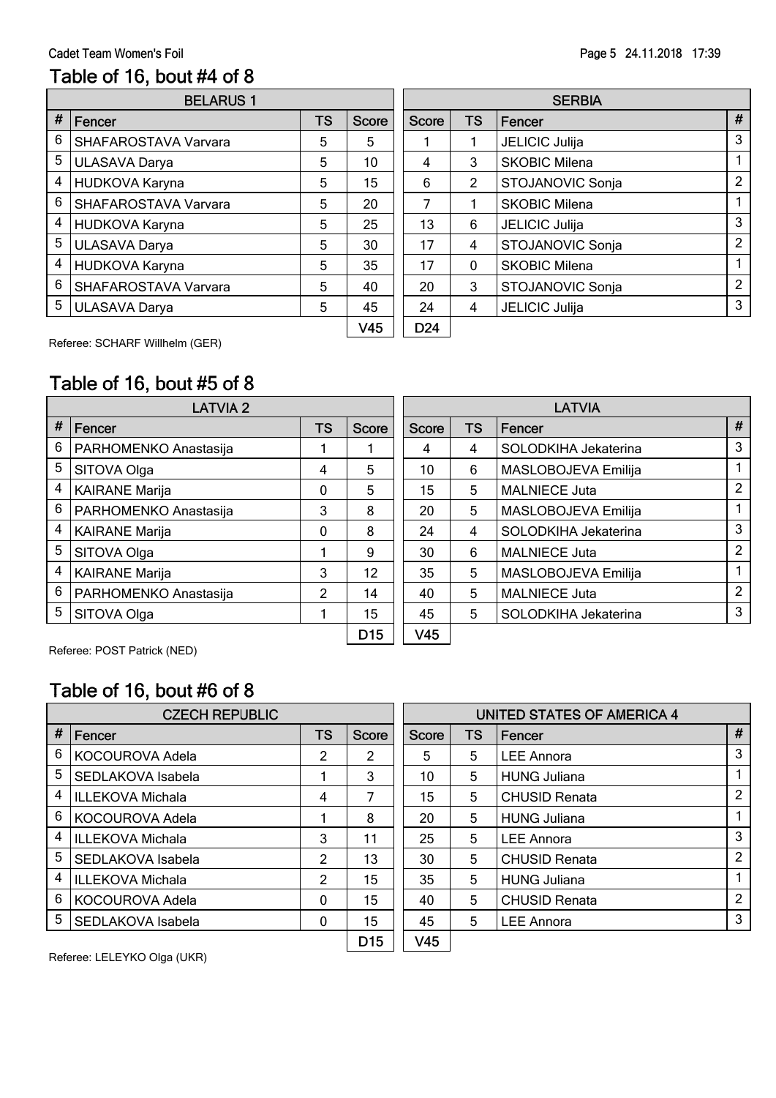#### Table of 16, bout #4 of 8

|   | <b>BELARUS1</b>      |           |                 | <b>SERBIA</b>   |               |                      |        |
|---|----------------------|-----------|-----------------|-----------------|---------------|----------------------|--------|
| # | Fencer               | <b>TS</b> | <b>Score</b>    | <b>Score</b>    | <b>TS</b>     | Fencer               | Ħ      |
| 6 | SHAFAROSTAVA Varvara | 5         | 5               |                 |               | JELICIC Julija       | 3      |
| 5 | <b>ULASAVA Darya</b> | 5         | 10              | 4               | 3             | <b>SKOBIC Milena</b> |        |
| 4 | HUDKOVA Karyna       | 5         | 15              | 6               | $\mathcal{P}$ | STOJANOVIC Sonja     | 2      |
| 6 | SHAFAROSTAVA Varvara | 5         | 20              |                 |               | <b>SKOBIC Milena</b> |        |
| 4 | HUDKOVA Karyna       | 5         | 25              | 13              | 6             | JELICIC Julija       | 3      |
| 5 | <b>ULASAVA Darya</b> | 5         | 30              | 17              | 4             | STOJANOVIC Sonja     | 2      |
| 4 | HUDKOVA Karyna       | 5         | 35              | 17              | $\mathbf{0}$  | <b>SKOBIC Milena</b> |        |
| 6 | SHAFAROSTAVA Varvara | 5         | 40              | 20              | 3             | STOJANOVIC Sonja     | C<br>∠ |
| 5 | <b>ULASAVA Darya</b> | 5         | 45              | 24              | 4             | JELICIC Julija       | 3      |
|   |                      |           | V <sub>45</sub> | D <sub>24</sub> |               |                      |        |

|                 |              |           | <b>SERBIA</b>         |                |
|-----------------|--------------|-----------|-----------------------|----------------|
| Score           | <b>Score</b> | <b>TS</b> | Fencer                | #              |
| 5               |              | 1         | <b>JELICIC Julija</b> | 3              |
| 10              | 4            | 3         | <b>SKOBIC Milena</b>  | 1              |
| 15              | 6            | 2         | STOJANOVIC Sonja      | 2              |
| 20              | 7            | 1         | <b>SKOBIC Milena</b>  | 1              |
| 25              | 13           | 6         | JELICIC Julija        | 3              |
| 30              | 17           | 4         | STOJANOVIC Sonja      | $\mathfrak{p}$ |
| 35              | 17           | 0         | <b>SKOBIC Milena</b>  | 1              |
| 40              | 20           | 3         | STOJANOVIC Sonja      | 2              |
| 45              | 24           | 4         | JELICIC Julija        | 3              |
| V <sub>45</sub> | D24          |           |                       |                |

Referee: SCHARF Willhelm (GER)

### Table of 16, bout #5 of 8

|   | <b>LATVIA 2</b>       |               |                 | <b>LATVIA</b>   |    |                      |   |
|---|-----------------------|---------------|-----------------|-----------------|----|----------------------|---|
| # | Fencer                |               | <b>Score</b>    | <b>Score</b>    | TS | Fencer               | Ħ |
| 6 | PARHOMENKO Anastasija |               |                 | 4               | 4  | SOLODKIHA Jekaterina | 3 |
| 5 | SITOVA Olga           | 4             | 5               | 10              | 6  | MASLOBOJEVA Emilija  |   |
| 4 | <b>KAIRANE Marija</b> | 0             | 5               | 15              | 5  | <b>MALNIECE Juta</b> |   |
| 6 | PARHOMENKO Anastasija | 3             | 8               | 20              | 5  | MASLOBOJEVA Emilija  |   |
| 4 | <b>KAIRANE Marija</b> | 0             | 8               | 24              | 4  | SOLODKIHA Jekaterina |   |
| 5 | SITOVA Olga           |               | 9               | 30              | 6  | <b>MALNIECE Juta</b> | 2 |
| 4 | <b>KAIRANE Marija</b> | 3             | 12              | 35              | 5  | MASLOBOJEVA Emilija  |   |
| 6 | PARHOMENKO Anastasija | $\mathcal{P}$ | 14              | 40              | 5  | <b>MALNIECE Juta</b> |   |
| 5 | SITOVA Olga           |               | 15              | 45              | 5  | SOLODKIHA Jekaterina | 3 |
|   |                       |               | D <sub>15</sub> | V <sub>45</sub> |    |                      |   |

Referee: POST Patrick (NED)

# Table of 16, bout #6 of 8

|   | <b>CZECH REPUBLIC</b>                          |   |                 | <b>UNITED STATES OF AMERICA 4</b> |    |                      |   |
|---|------------------------------------------------|---|-----------------|-----------------------------------|----|----------------------|---|
| # | Fencer<br><b>TS</b><br><b>Score</b>            |   |                 |                                   | TS | Fencer               | # |
| 6 | KOCOUROVA Adela                                | 2 | 2               | 5                                 | 5  | <b>LEE Annora</b>    | 3 |
| 5 | SEDLAKOVA Isabela                              |   | 3               | 10                                | 5  | <b>HUNG Juliana</b>  |   |
| 4 | <b>ILLEKOVA Michala</b>                        | 4 | 7               | 15                                | 5  | <b>CHUSID Renata</b> | 2 |
| 6 | KOCOUROVA Adela                                |   | 8               | 20                                | 5  | <b>HUNG Juliana</b>  | 1 |
| 4 | <b>ILLEKOVA Michala</b>                        | 3 | 11              | 25                                | 5  | <b>LEE Annora</b>    | 3 |
| 5 | SEDLAKOVA Isabela                              | 2 | 13              | 30                                | 5  | <b>CHUSID Renata</b> | 2 |
| 4 | <b>ILLEKOVA Michala</b>                        | 2 | 15              | 35                                | 5  | <b>HUNG Juliana</b>  | 1 |
| 6 | KOCOUROVA Adela                                | 0 | 15              | 40                                | 5  | <b>CHUSID Renata</b> | 2 |
|   | 5 <sub>1</sub><br>SEDLAKOVA Isabela<br>15<br>0 |   |                 |                                   | 5  | <b>LEE Annora</b>    | 3 |
|   |                                                |   | D <sub>15</sub> | V <sub>45</sub>                   |    |                      |   |

Referee: LELEYKO Olga (UKR)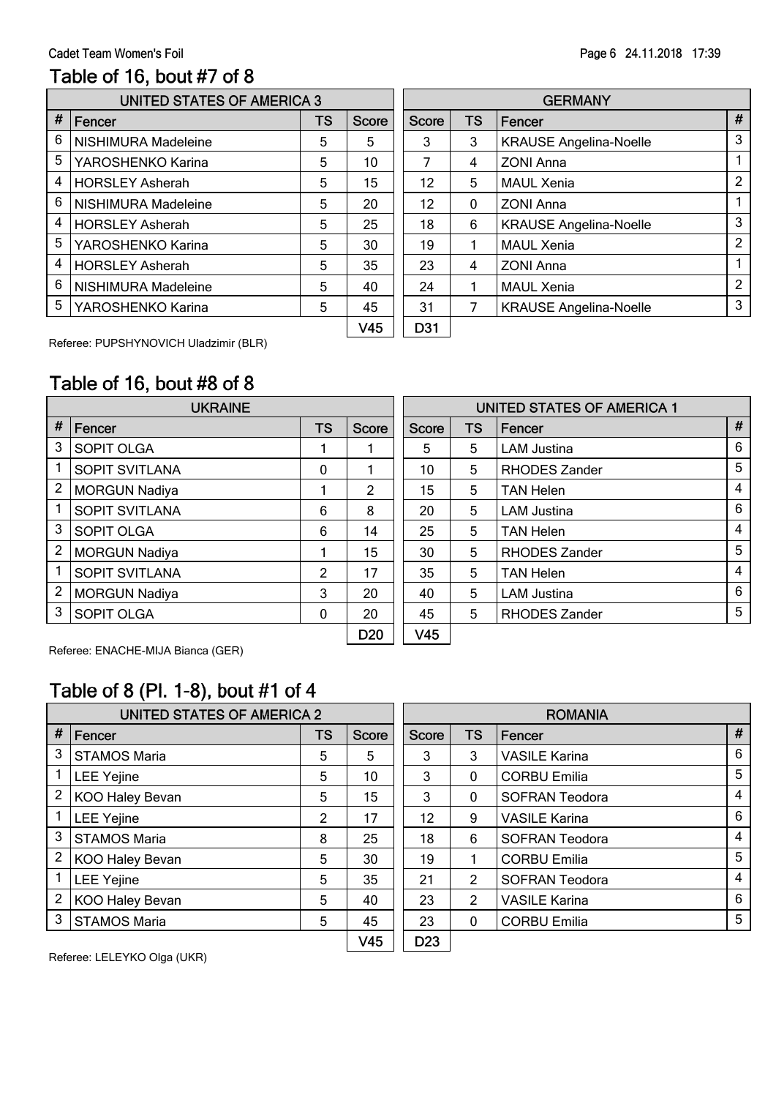#### Table of 16, bout #7 of 8

|   | <b>UNITED STATES OF AMERICA 3</b> |           |              | <b>GERMANY</b>  |              |                               |   |  |
|---|-----------------------------------|-----------|--------------|-----------------|--------------|-------------------------------|---|--|
| # | Fencer                            | <b>TS</b> | <b>Score</b> | <b>Score</b>    | <b>TS</b>    | Fencer                        | Ħ |  |
| 6 | NISHIMURA Madeleine               | 5         | 5            | 3               | 3            | <b>KRAUSE Angelina-Noelle</b> | 3 |  |
| 5 | YAROSHENKO Karina                 | 5         | 10           |                 | 4            | <b>ZONI Anna</b>              |   |  |
| 4 | <b>HORSLEY Asherah</b>            | 5         | 15           | 12              | 5            | <b>MAUL Xenia</b>             |   |  |
| 6 | NISHIMURA Madeleine               | 5         | 20           | 12              | $\mathbf{0}$ | <b>ZONI Anna</b>              |   |  |
| 4 | <b>HORSLEY Asherah</b>            | 5         | 25           | 18              | 6            | <b>KRAUSE Angelina-Noelle</b> | 3 |  |
| 5 | YAROSHENKO Karina                 | 5         | 30           | 19              |              | <b>MAUL Xenia</b>             | 2 |  |
| 4 | <b>HORSLEY Asherah</b>            | 5         | 35           | 23              | 4            | <b>ZONI Anna</b>              |   |  |
| 6 | NISHIMURA Madeleine               | 5         | 40           | 24              |              | <b>MAUL Xenia</b>             | 2 |  |
| 5 | YAROSHENKO Karina<br>5<br>45      |           |              |                 | 7            | <b>KRAUSE Angelina-Noelle</b> | 3 |  |
|   |                                   |           | <b>MAE</b>   | D <sub>21</sub> |              |                               |   |  |

|              |                   |           | <b>GERMANY</b>                |                |
|--------------|-------------------|-----------|-------------------------------|----------------|
| <b>Score</b> | <b>Score</b>      | <b>TS</b> | Fencer                        | #              |
| 5            | 3                 | 3         | <b>KRAUSE Angelina-Noelle</b> | 3              |
| 10           | 7                 | 4         | <b>ZONI Anna</b>              | 1              |
| 15           | 12                | 5         | <b>MAUL Xenia</b>             | 2              |
| 20           | $12 \overline{ }$ | 0         | <b>ZONI Anna</b>              | 1              |
| 25           | 18                | 6         | <b>KRAUSE Angelina-Noelle</b> | 3              |
| 30           | 19                |           | <b>MAUL Xenia</b>             | 2              |
| 35           | 23                | 4         | <b>ZONI Anna</b>              | 1              |
| 40           | 24                |           | <b>MAUL Xenia</b>             | $\mathfrak{p}$ |
| 45           | 31                | 7         | <b>KRAUSE Angelina-Noelle</b> | 3              |
| V45          | D31               |           |                               |                |

Referee: PUPSHYNOVICH Uladzimir (BLR)

#### Table of 16, bout #8 of 8

|                | <b>UKRAINE</b>        |           |                 | <b>UNITED STATES OF AMERICA 1</b> |           |                      |          |  |
|----------------|-----------------------|-----------|-----------------|-----------------------------------|-----------|----------------------|----------|--|
| #              | Fencer                | <b>TS</b> | <b>Score</b>    | <b>Score</b>                      | <b>TS</b> | Fencer               | $\sharp$ |  |
| 3              | <b>SOPIT OLGA</b>     |           |                 | 5                                 | 5         | <b>LAM Justina</b>   | 6        |  |
|                | <b>SOPIT SVITLANA</b> | 0         |                 | 10                                | 5         | <b>RHODES Zander</b> | 5        |  |
| $\overline{2}$ | <b>MORGUN Nadiya</b>  |           | 2               | 15                                | 5         | <b>TAN Helen</b>     | 4        |  |
|                | <b>SOPIT SVITLANA</b> | 6         | 8               | 20                                | 5         | <b>LAM Justina</b>   | 6        |  |
| 3              | SOPIT OLGA            | 6         | 14              | 25                                | 5         | <b>TAN Helen</b>     | 4        |  |
| $\overline{2}$ | <b>MORGUN Nadiya</b>  |           | 15              | 30                                | 5         | <b>RHODES Zander</b> | 5        |  |
|                | SOPIT SVITLANA        | 2         | 17              | 35                                | 5         | <b>TAN Helen</b>     | 4        |  |
| $\overline{2}$ | <b>MORGUN Nadiya</b>  | 3         | 20              | 40                                | 5         | <b>LAM Justina</b>   | 6        |  |
| 3              | SOPIT OLGA            | 0         | 20              | 45                                | 5         | <b>RHODES Zander</b> | 5        |  |
|                |                       |           | D <sub>20</sub> | V45                               |           |                      |          |  |

Referee: ENACHE-MIJA Bianca (GER)

# Table of 8 (Pl. 1-8), bout #1 of 4

|                | <b>UNITED STATES OF AMERICA 2</b> |                |                 | <b>ROMANIA</b>  |                     |                       |                |
|----------------|-----------------------------------|----------------|-----------------|-----------------|---------------------|-----------------------|----------------|
| #              | Fencer                            | TS             | <b>Score</b>    | <b>Score</b>    | <b>TS</b>           | Fencer                | #              |
| 3              | <b>STAMOS Maria</b>               | 5              | 5               | 3               | 3                   | <b>VASILE Karina</b>  | 6              |
|                | <b>LEE Yejine</b>                 | 5              | 10              | 3               | $\mathbf{0}$        | <b>CORBU Emilia</b>   | 5              |
| $\overline{2}$ | KOO Haley Bevan                   | 5              | 15              | 3               | $\mathbf{0}$        | <b>SOFRAN Teodora</b> | 4              |
|                | <b>LEE Yejine</b>                 | $\mathfrak{p}$ | 17              | 12              | 9                   | <b>VASILE Karina</b>  | 6              |
| 3              | <b>STAMOS Maria</b>               | 8              | 25              | 18              | 6                   | <b>SOFRAN Teodora</b> | $\overline{4}$ |
| 2              | KOO Haley Bevan                   | 5              | 30              | 19              |                     | <b>CORBU Emilia</b>   | 5              |
|                | <b>LEE Yejine</b>                 | 5              | 35              | 21              | 2                   | <b>SOFRAN Teodora</b> | $\overline{4}$ |
| $\overline{2}$ | KOO Haley Bevan                   | 5              | 40              | 23              | 2                   | <b>VASILE Karina</b>  | 6              |
| 3              | <b>STAMOS Maria</b>               | 45             | 23              | 0               | <b>CORBU Emilia</b> | 5                     |                |
|                |                                   |                | V <sub>45</sub> | D <sub>23</sub> |                     |                       |                |

Referee: LELEYKO Olga (UKR)

 $\overline{\#}$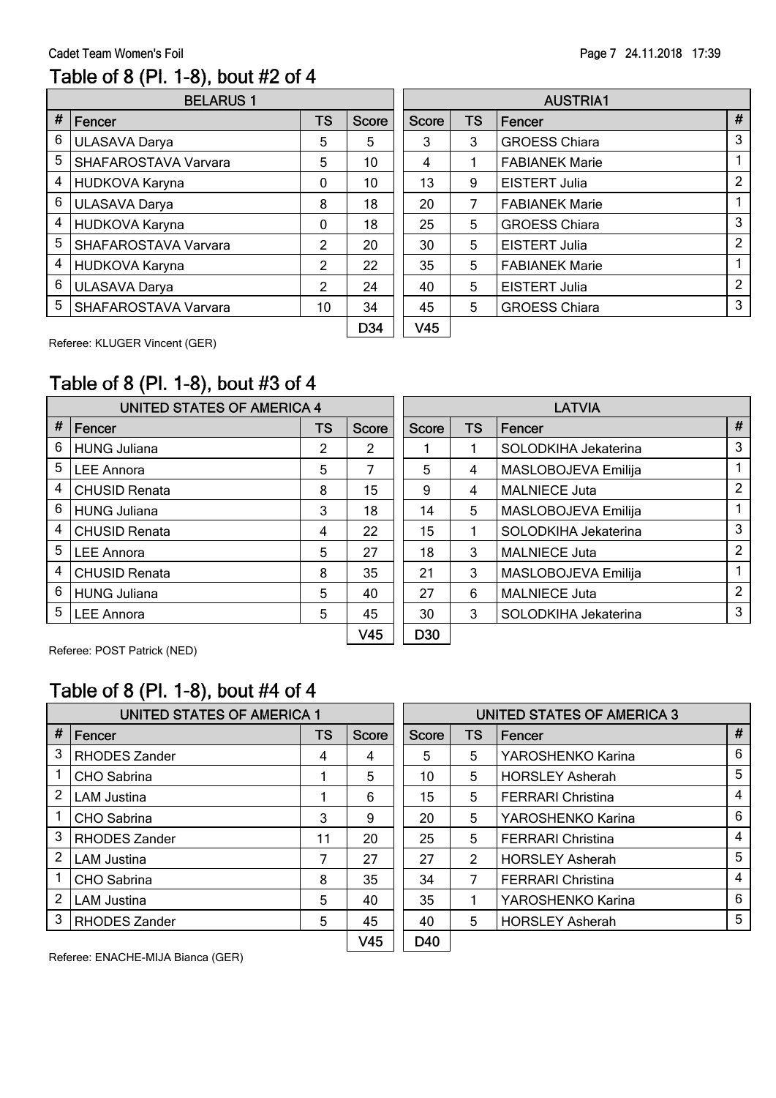#### Table of 8 (Pl. 1-8), bout #2 of 4

|                | <b>BELARUS 1</b>                 |                |              | <b>AUSTRIA1</b> |                      |                       |   |
|----------------|----------------------------------|----------------|--------------|-----------------|----------------------|-----------------------|---|
| #              | Fencer                           | <b>TS</b>      | <b>Score</b> | <b>Score</b>    | <b>TS</b>            | Fencer                | Ħ |
| 6              | <b>ULASAVA Darya</b>             | 5              | 5            | 3               | 3                    | <b>GROESS Chiara</b>  | 3 |
| 5              | SHAFAROSTAVA Varvara             | 5              | 10           | 4               |                      | <b>FABIANEK Marie</b> |   |
| 4              | HUDKOVA Karyna                   | 0              | 10           | 13              | 9                    | <b>EISTERT Julia</b>  | 2 |
| 6              | <b>ULASAVA Darya</b>             | 8              | 18           | 20              | 7                    | <b>FABIANEK Marie</b> |   |
| 4              | HUDKOVA Karyna                   | 0              | 18           | 25              | 5                    | <b>GROESS Chiara</b>  | 3 |
| 5              | SHAFAROSTAVA Varvara             | $\overline{2}$ | 20           | 30              | 5                    | <b>EISTERT Julia</b>  | 2 |
| $\overline{4}$ | <b>HUDKOVA Karyna</b>            | $\overline{2}$ | 22           | 35              | 5                    | <b>FABIANEK Marie</b> |   |
| 6              | <b>ULASAVA Darya</b>             | $\overline{2}$ | 24           | 40              | 5                    | <b>EISTERT Julia</b>  | 2 |
| 5              | SHAFAROSTAVA Varvara<br>10<br>34 |                | 45           | 5               | <b>GROESS Chiara</b> | 3                     |   |
|                |                                  |                | <b>MAR</b>   |                 |                      |                       |   |

|              | <b>AUSTRIA1</b> |           |                       |   |  |  |  |  |
|--------------|-----------------|-----------|-----------------------|---|--|--|--|--|
| <b>Score</b> | <b>Score</b>    | <b>TS</b> | Fencer                | # |  |  |  |  |
| 5            | 3               | 3         | <b>GROESS Chiara</b>  | 3 |  |  |  |  |
| 10           | 4               |           | <b>FABIANEK Marie</b> | 1 |  |  |  |  |
| 10           | 13              | 9         | <b>EISTERT Julia</b>  | 2 |  |  |  |  |
| 18           | 20              | 7         | <b>FABIANEK Marie</b> | 1 |  |  |  |  |
| 18           | 25              | 5         | <b>GROESS Chiara</b>  | 3 |  |  |  |  |
| 20           | 30              | 5         | <b>EISTERT Julia</b>  | 2 |  |  |  |  |
| 22           | 35              | 5         | <b>FABIANEK Marie</b> | 1 |  |  |  |  |
| 24           | 40              | 5         | <b>EISTERT Julia</b>  | 2 |  |  |  |  |
| 34           | 45              | 5         | <b>GROESS Chiara</b>  | 3 |  |  |  |  |
| D34          | V45             |           |                       |   |  |  |  |  |

Referee: KLUGER Vincent (GER)

# Table of 8 (Pl. 1-8), bout #3 of 4

|     | <b>UNITED STATES OF AMERICA 4</b> |           |                 | <b>LATVIA</b>   |    |                      |   |  |
|-----|-----------------------------------|-----------|-----------------|-----------------|----|----------------------|---|--|
| #   | Fencer                            | <b>TS</b> | <b>Score</b>    | <b>Score</b>    | TS | Fencer               | # |  |
| 6   | <b>HUNG Juliana</b>               | 2         | 2               |                 |    | SOLODKIHA Jekaterina | 3 |  |
| 5   | <b>LEE Annora</b>                 | 5         |                 | 5               | 4  | MASLOBOJEVA Emilija  | 1 |  |
| 4   | <b>CHUSID Renata</b>              | 8         | 15              | 9               | 4  | <b>MALNIECE Juta</b> | 2 |  |
| 6   | <b>HUNG Juliana</b>               | 3         | 18              | 14              | 5  | MASLOBOJEVA Emilija  | 1 |  |
| 4   | <b>CHUSID Renata</b>              | 4         | 22              | 15              |    | SOLODKIHA Jekaterina | 3 |  |
| 5   | <b>LEE Annora</b>                 | 5         | 27              | 18              | 3  | <b>MALNIECE Juta</b> | 2 |  |
| 4   | <b>CHUSID Renata</b>              | 8         | 35              | 21              | 3  | MASLOBOJEVA Emilija  | 1 |  |
| 6   | <b>HUNG Juliana</b>               | 5         | 40              | 27              | 6  | <b>MALNIECE Juta</b> | 2 |  |
| 5   | <b>LEE Annora</b>                 | 5         | 45              | 30              | 3  | SOLODKIHA Jekaterina | 3 |  |
| - - | $R = 22.7$                        |           | V <sub>45</sub> | D <sub>30</sub> |    |                      |   |  |

Referee: POST Patrick (NED)

# Table of 8 (Pl. 1-8), bout #4 of 4

|                | <b>UNITED STATES OF AMERICA 1</b> |    |                 | <b>UNITED STATES OF AMERICA 3</b> |    |                          |   |
|----------------|-----------------------------------|----|-----------------|-----------------------------------|----|--------------------------|---|
| #              | Fencer                            | TS | Score           | Score                             | TS | Fencer                   | # |
| 3              | <b>RHODES Zander</b>              | 4  | 4               | 5                                 | 5  | YAROSHENKO Karina        | 6 |
|                | CHO Sabrina                       |    | 5               | 10                                | 5  | <b>HORSLEY Asherah</b>   | 5 |
| $\overline{2}$ | <b>LAM Justina</b>                |    | 6               | 15                                | 5  | <b>FERRARI Christina</b> | 4 |
|                | CHO Sabrina                       | 3  | 9               | 20                                | 5  | YAROSHENKO Karina        | 6 |
| 3              | <b>RHODES Zander</b>              | 11 | 20              | 25                                | 5  | <b>FERRARI Christina</b> | 4 |
| $\overline{2}$ | <b>LAM Justina</b>                | 7  | 27              | 27                                | 2  | <b>HORSLEY Asherah</b>   | 5 |
|                | CHO Sabrina                       | 8  | 35              | 34                                | 7  | <b>FERRARI Christina</b> | 4 |
| 2              | LAM Justina                       | 5  | 40              | 35                                |    | YAROSHENKO Karina        | 6 |
| 3              | <b>RHODES Zander</b><br>5<br>45   |    |                 | 40                                | 5  | <b>HORSLEY Asherah</b>   | 5 |
|                |                                   |    | V <sub>45</sub> | D40                               |    |                          |   |

Referee: ENACHE-MIJA Bianca (GER)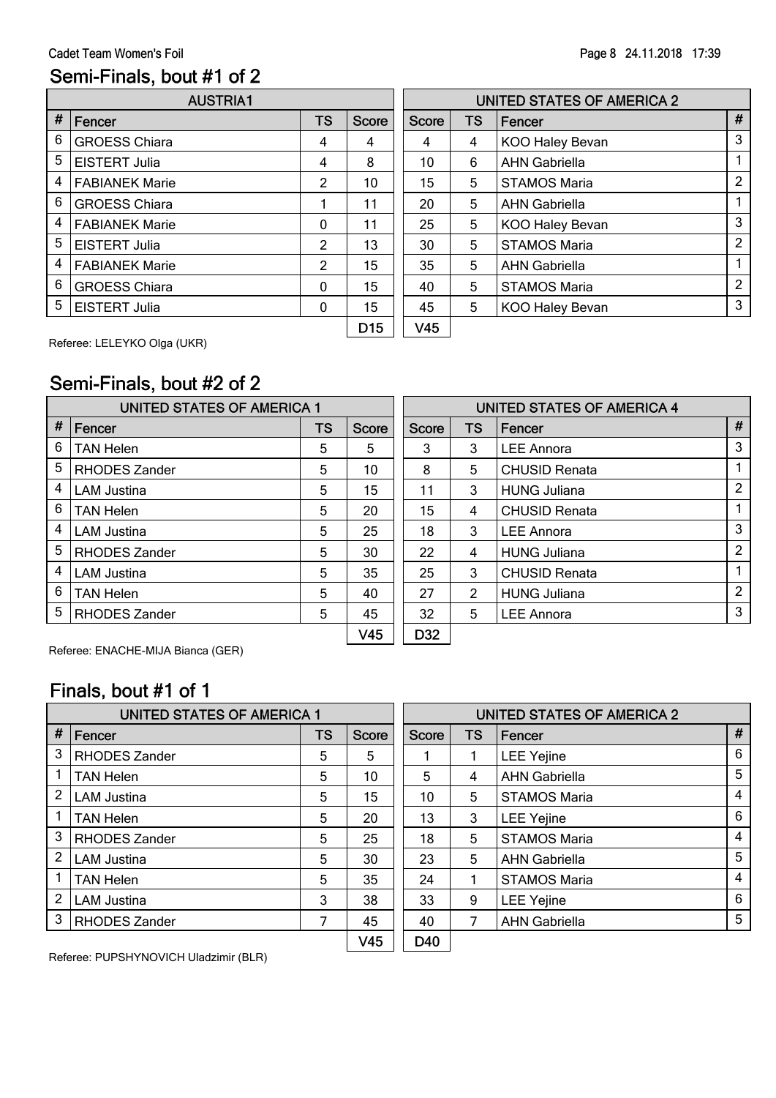#### Semi-Finals, bout #1 of 2

|                | <b>AUSTRIA1</b>       |                |              | <b>UNITED STATES OF AMERICA 2</b> |    |                      |   |  |
|----------------|-----------------------|----------------|--------------|-----------------------------------|----|----------------------|---|--|
| #              | Fencer                | <b>TS</b>      | <b>Score</b> | <b>Score</b>                      | TS | Fencer               | Ħ |  |
| 6              | <b>GROESS Chiara</b>  | 4              | 4            | 4                                 | 4  | KOO Haley Bevan      | 3 |  |
| 5              | EISTERT Julia         | 4              | 8            | 10                                | 6  | <b>AHN Gabriella</b> |   |  |
| $\overline{4}$ | <b>FABIANEK Marie</b> | $\overline{2}$ | 10           | 15                                | 5  | <b>STAMOS Maria</b>  | 2 |  |
| 6              | <b>GROESS Chiara</b>  |                | 11           | 20                                | 5  | <b>AHN Gabriella</b> |   |  |
| 4              | <b>FABIANEK Marie</b> | 0              | 11           | 25                                | 5  | KOO Haley Bevan      | 3 |  |
| 5              | <b>EISTERT Julia</b>  | $\mathcal{P}$  | 13           | 30                                | 5  | <b>STAMOS Maria</b>  | 2 |  |
| 4              | <b>FABIANEK Marie</b> | 2              | 15           | 35                                | 5  | <b>AHN Gabriella</b> |   |  |
| 6              | <b>GROESS Chiara</b>  | 0              | 15           | 40                                | 5  | <b>STAMOS Maria</b>  | 2 |  |
| 5              | <b>EISTERT Julia</b>  | 0              | 15           | 45                                | 5  | KOO Haley Bevan      | 3 |  |
|                |                       |                | $\mathbf{M}$ | <b>MAE</b>                        |    |                      |   |  |

|       | UNITED STATES OF AMERICA 2 |           |                        |   |  |  |  |  |  |
|-------|----------------------------|-----------|------------------------|---|--|--|--|--|--|
| Score | Score                      | <b>TS</b> | Fencer                 | # |  |  |  |  |  |
| 4     | 4                          | 4         | KOO Haley Bevan        | 3 |  |  |  |  |  |
| 8     | 10                         | 6         | <b>AHN Gabriella</b>   |   |  |  |  |  |  |
| 10    | 15                         | 5         | <b>STAMOS Maria</b>    | 2 |  |  |  |  |  |
| 11    | 20                         | 5         | <b>AHN Gabriella</b>   | 1 |  |  |  |  |  |
| 11    | 25                         | 5         | <b>KOO Haley Bevan</b> | 3 |  |  |  |  |  |
| 13    | 30                         | 5         | <b>STAMOS Maria</b>    | 2 |  |  |  |  |  |
| 15    | 35                         | 5         | <b>AHN Gabriella</b>   | 1 |  |  |  |  |  |
| 15    | 40                         | 5         | <b>STAMOS Maria</b>    | 2 |  |  |  |  |  |
| 15    | 45                         | 5         | <b>KOO Haley Bevan</b> | 3 |  |  |  |  |  |
| D15   | V45                        |           |                        |   |  |  |  |  |  |

Referee: LELEYKO Olga (UKR)

### Semi-Finals, bout #2 of 2

|                | <b>UNITED STATES OF AMERICA 1</b> |           |              | <b>UNITED STATES OF AMERICA 4</b> |                |                      |   |
|----------------|-----------------------------------|-----------|--------------|-----------------------------------|----------------|----------------------|---|
| #              | Fencer                            | <b>TS</b> | <b>Score</b> | <b>Score</b>                      | TS             | Fencer               | ħ |
| 6              | <b>TAN Helen</b>                  | 5         | 5            | 3                                 | 3              | <b>LEE Annora</b>    | 3 |
| 5              | RHODES Zander                     | 5         | 10           | 8                                 | 5              | <b>CHUSID Renata</b> |   |
| 4              | <b>LAM Justina</b>                | 5         | 15           | 11                                | 3              | <b>HUNG Juliana</b>  | 2 |
| 6              | <b>TAN Helen</b>                  | 5         | 20           | 15                                | 4              | <b>CHUSID Renata</b> |   |
| 4              | <b>LAM Justina</b>                | 5         | 25           | 18                                | 3              | <b>LEE Annora</b>    | 3 |
| 5 <sup>5</sup> | RHODES Zander                     | 5         | 30           | 22                                | 4              | <b>HUNG Juliana</b>  | 2 |
| $\overline{4}$ | <b>LAM Justina</b>                | 5         | 35           | 25                                | 3              | <b>CHUSID Renata</b> |   |
| 6              | <b>TAN Helen</b>                  | 5         | 40           | 27                                | $\overline{2}$ | <b>HUNG Juliana</b>  | 2 |
| 5              | RHODES Zander                     | 5         | 45           | 32                                | 5              | <b>LEE Annora</b>    | 3 |
| $ -$           | $\sim$ $ \sim$ $\sim$<br>$ -$     |           | V45          | D32                               |                |                      |   |

|              | <b>UNITED STATES OF AMERICA 4</b> |                      |   |  |  |  |  |  |  |
|--------------|-----------------------------------|----------------------|---|--|--|--|--|--|--|
| <b>Score</b> | TS                                | Fencer               | # |  |  |  |  |  |  |
| 3            | 3                                 | <b>LEE Annora</b>    | 3 |  |  |  |  |  |  |
| 8            | 5                                 | <b>CHUSID Renata</b> | 1 |  |  |  |  |  |  |
| 11           | 3                                 | <b>HUNG Juliana</b>  | 2 |  |  |  |  |  |  |
| 15           | 4                                 | <b>CHUSID Renata</b> |   |  |  |  |  |  |  |
| 18           | 3                                 | <b>LEE Annora</b>    | 3 |  |  |  |  |  |  |
| 22           | 4                                 | <b>HUNG Juliana</b>  | 2 |  |  |  |  |  |  |
| 25           | 3                                 | <b>CHUSID Renata</b> |   |  |  |  |  |  |  |
| 27           | 2                                 | <b>HUNG Juliana</b>  | 2 |  |  |  |  |  |  |
| 32           | 5                                 | <b>LEE Annora</b>    | 3 |  |  |  |  |  |  |
| פרח          |                                   |                      |   |  |  |  |  |  |  |

Referee: ENACHE-MIJA Bianca (GER)

#### Finals, bout #1 of 1

|                | <b>UNITED STATES OF AMERICA 1</b> |    |                 | <b>UNITED STATES OF AMERICA 2</b> |    |                      |   |
|----------------|-----------------------------------|----|-----------------|-----------------------------------|----|----------------------|---|
| #              | Fencer                            | TS | <b>Score</b>    | <b>Score</b>                      | TS | Fencer               | # |
| 3              | <b>RHODES Zander</b>              | 5  | 5               |                                   |    | <b>LEE Yejine</b>    | 6 |
|                | <b>TAN Helen</b>                  | 5  | 10              | 5                                 | 4  | <b>AHN Gabriella</b> | 5 |
| 2              | <b>LAM Justina</b>                | 5  | 15              | 10                                | 5  | <b>STAMOS Maria</b>  | 4 |
|                | <b>TAN Helen</b>                  | 5  | 20              | 13                                | 3  | <b>LEE Yejine</b>    | 6 |
| 3              | <b>RHODES Zander</b>              | 5  | 25              | 18                                | 5  | <b>STAMOS Maria</b>  | 4 |
| 2              | <b>LAM Justina</b>                | 5  | 30              | 23                                | 5  | <b>AHN Gabriella</b> | 5 |
|                | <b>TAN Helen</b>                  | 5  | 35              | 24                                |    | <b>STAMOS Maria</b>  | 4 |
| $\overline{2}$ | <b>LAM Justina</b>                | 3  | 38              | 33                                | 9  | <b>LEE Yejine</b>    | 6 |
| 3              | <b>RHODES Zander</b>              | 7  | 45              | 40                                | 7  | <b>AHN Gabriella</b> | 5 |
|                |                                   |    | V <sub>45</sub> | D40                               |    |                      |   |

Referee: PUPSHYNOVICH Uladzimir (BLR)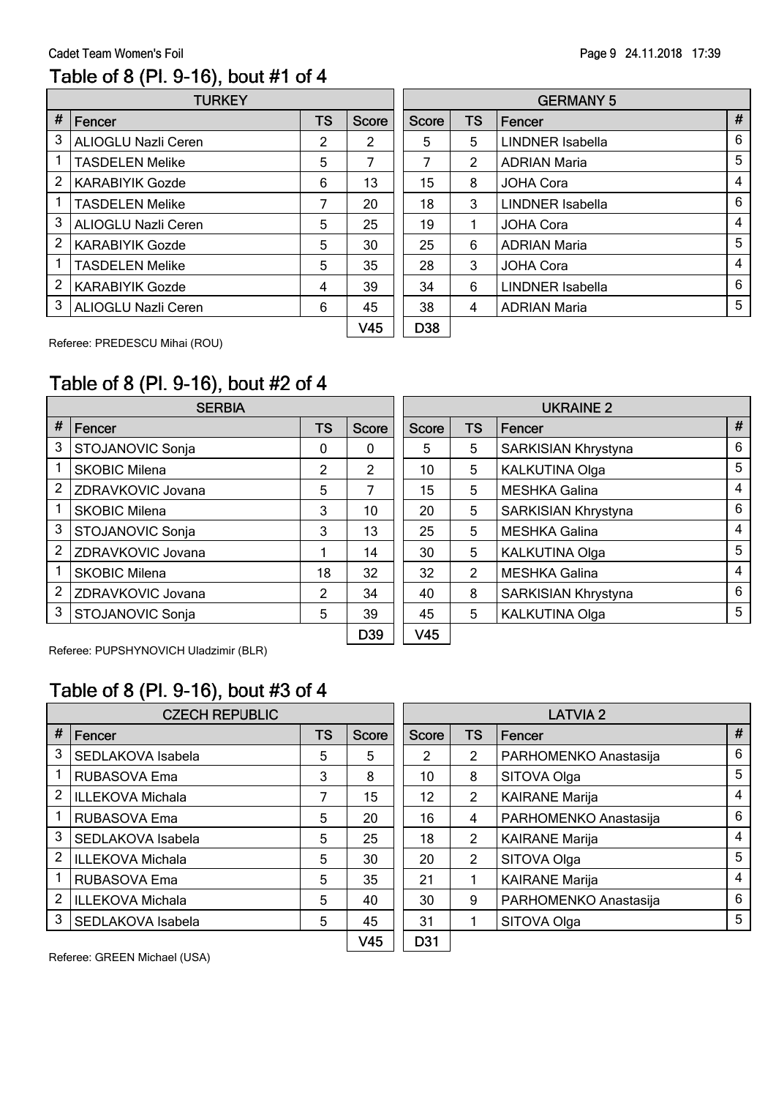#### Table of 8 (Pl. 9-16), bout #1 of 4

|                | <b>TURKEY</b>              |                |              | <b>GERMANY 5</b> |                |                         |   |
|----------------|----------------------------|----------------|--------------|------------------|----------------|-------------------------|---|
| #              | Fencer                     | <b>TS</b>      | <b>Score</b> | <b>Score</b>     | <b>TS</b>      | Fencer                  | Ħ |
| 3              | <b>ALIOGLU Nazli Ceren</b> | $\overline{2}$ | 2            | 5                | 5              | <b>LINDNER Isabella</b> | 6 |
|                | <b>TASDELEN Melike</b>     | 5              | 7            |                  | $\overline{2}$ | <b>ADRIAN Maria</b>     | 5 |
| 2              | <b>KARABIYIK Gozde</b>     | 6              | 13           | 15               | 8              | <b>JOHA Cora</b>        | 4 |
|                | <b>TASDELEN Melike</b>     | 7              | 20           | 18               | 3              | <b>LINDNER Isabella</b> | 6 |
| 3              | <b>ALIOGLU Nazli Ceren</b> | 5              | 25           | 19               |                | <b>JOHA Cora</b>        | 4 |
| 2              | <b>KARABIYIK Gozde</b>     | 5              | 30           | 25               | 6              | <b>ADRIAN Maria</b>     | 5 |
|                | <b>TASDELEN Melike</b>     | 5              | 35           | 28               | 3              | JOHA Cora               | 4 |
| $\overline{2}$ | <b>KARABIYIK Gozde</b>     | 4              | 39           | 34               | 6              | LINDNER Isabella        | 6 |
| 3              | <b>ALIOGLU Nazli Ceren</b> | 6              | 45           | 38               | 4              | <b>ADRIAN Maria</b>     | 5 |
|                |                            |                | <b>VAL</b>   | noo              |                |                         |   |

|              |              | <b>GERMANY 5</b> |                         |   |  |  |  |  |  |
|--------------|--------------|------------------|-------------------------|---|--|--|--|--|--|
| <b>Score</b> | <b>Score</b> | <b>TS</b>        | Fencer                  | # |  |  |  |  |  |
| 2            | 5            | 5                | LINDNER Isabella        | 6 |  |  |  |  |  |
| 7            | 7            | $\overline{2}$   | <b>ADRIAN Maria</b>     | 5 |  |  |  |  |  |
| 13           | 15           | 8                | <b>JOHA Cora</b>        | 4 |  |  |  |  |  |
| 20           | 18           | 3                | <b>LINDNER Isabella</b> | 6 |  |  |  |  |  |
| 25           | 19           | 1                | <b>JOHA Cora</b>        | 4 |  |  |  |  |  |
| 30           | 25           | 6                | <b>ADRIAN Maria</b>     | 5 |  |  |  |  |  |
| 35           | 28           | 3                | <b>JOHA Cora</b>        | 4 |  |  |  |  |  |
| 39           | 34           | 6                | <b>LINDNER Isabella</b> | 6 |  |  |  |  |  |
| 45           | 38           | 4                | <b>ADRIAN Maria</b>     | 5 |  |  |  |  |  |
| V45          | D38          |                  |                         |   |  |  |  |  |  |

Referee: PREDESCU Mihai (ROU)

# Table of 8 (Pl. 9-16), bout #2 of 4

|   | <b>SERBIA</b>           |    |              | <b>UKRAINE 2</b> |           |                            |                |
|---|-------------------------|----|--------------|------------------|-----------|----------------------------|----------------|
| # | Fencer                  | TS | <b>Score</b> | <b>Score</b>     | <b>TS</b> | Fencer                     | #              |
| 3 | STOJANOVIC Sonja        | 0  | 0            | 5                | 5         | SARKISIAN Khrystyna        | 6              |
|   | <b>SKOBIC Milena</b>    | 2  | 2            | 10               | 5         | <b>KALKUTINA Olga</b>      | 5              |
| 2 | ZDRAVKOVIC Jovana       | 5  | 7            | 15               | 5         | <b>MESHKA Galina</b>       | $\overline{4}$ |
|   | <b>SKOBIC Milena</b>    | 3  | 10           | 20               | 5         | <b>SARKISIAN Khrystyna</b> | 6              |
| 3 | STOJANOVIC Sonja        | 3  | 13           | 25               | 5         | <b>MESHKA Galina</b>       | 4              |
| 2 | ZDRAVKOVIC Jovana       |    | 14           | 30               | 5         | <b>KALKUTINA Olga</b>      | 5              |
|   | <b>SKOBIC Milena</b>    | 18 | 32           | 32               | 2         | MESHKA Galina              | $\overline{4}$ |
| 2 | ZDRAVKOVIC Jovana       | 2  | 34           | 40               | 8         | <b>SARKISIAN Khrystyna</b> | 6              |
| 3 | <b>STOJANOVIC Sonja</b> | 5  | 39           | 45               | 5         | <b>KALKUTINA Olga</b>      | 5              |
|   |                         |    | D39          | V <sub>45</sub>  |           |                            |                |

Referee: PUPSHYNOVICH Uladzimir (BLR)

### Table of 8 (Pl. 9-16), bout #3 of 4

|                | <b>CZECH REPUBLIC</b>   |    |                 | <b>LATVIA 2</b> |              |                       |                |
|----------------|-------------------------|----|-----------------|-----------------|--------------|-----------------------|----------------|
| #              | Fencer                  | TS | <b>Score</b>    | <b>Score</b>    | TS           | Fencer                | #              |
| 3              | SEDLAKOVA Isabela       | 5  | 5               | 2               | 2            | PARHOMENKO Anastasija | 6              |
|                | RUBASOVA Ema            | 3  | 8               | 10              | 8            | SITOVA Olga           | 5              |
| $\overline{2}$ | <b>ILLEKOVA Michala</b> | 7  | 15              | 12              | 2            | <b>KAIRANE Marija</b> | 4              |
|                | RUBASOVA Ema            | 5  | 20              | 16              | 4            | PARHOMENKO Anastasija | 6              |
| 3              | SEDLAKOVA Isabela       | 5  | 25              | 18              | $\mathbf{2}$ | <b>KAIRANE Marija</b> | $\overline{4}$ |
| $\overline{2}$ | <b>ILLEKOVA Michala</b> | 5  | 30              | 20              | 2            | SITOVA Olga           | 5              |
|                | RUBASOVA Ema            | 5  | 35              | 21              |              | <b>KAIRANE Marija</b> | 4              |
| $\overline{2}$ | <b>ILLEKOVA Michala</b> | 5  | 40              | 30              | 9            | PARHOMENKO Anastasija | 6              |
| 3              | SEDLAKOVA Isabela       | 5  | 45              | 31              |              | SITOVA Olga           | 5              |
|                |                         |    | V <sub>45</sub> | D31             |              |                       |                |

Referee: GREEN Michael (USA)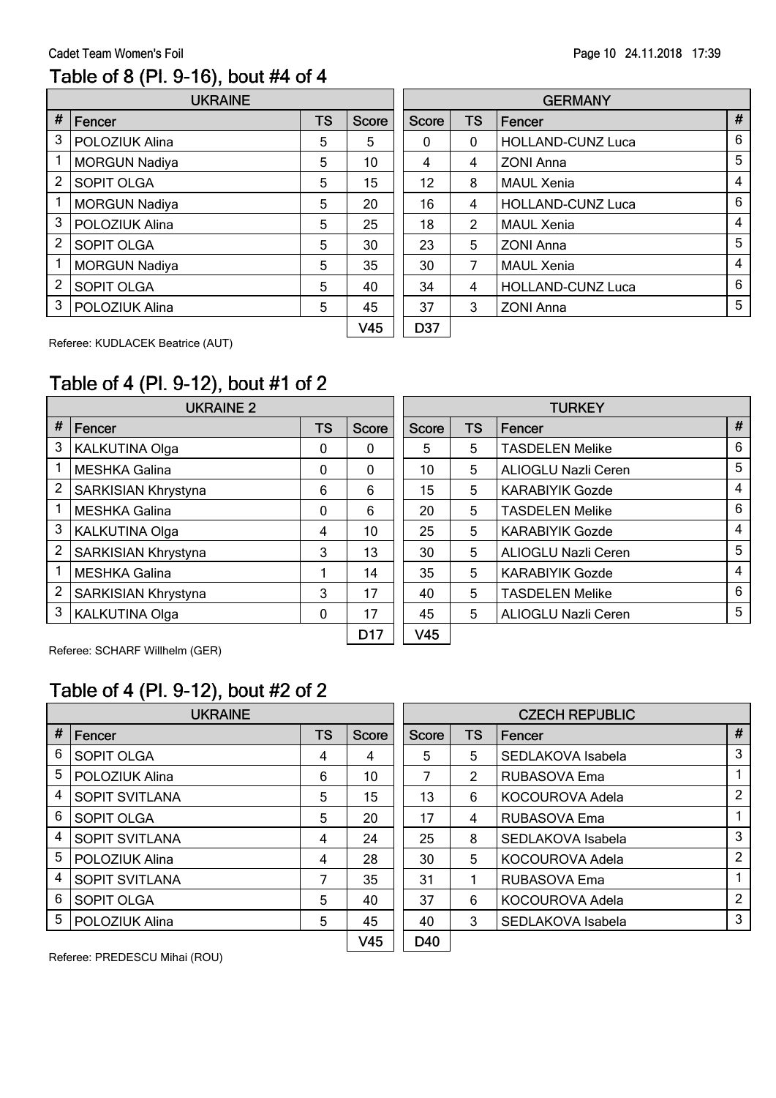#### Table of 8 (Pl. 9-16), bout #4 of 4

|   | <b>UKRAINE</b>       |           |              | <b>GERMANY</b>  |                |                          |   |  |
|---|----------------------|-----------|--------------|-----------------|----------------|--------------------------|---|--|
| # | Fencer               | <b>TS</b> | <b>Score</b> | <b>Score</b>    | <b>TS</b>      | Fencer                   | Ħ |  |
| 3 | POLOZIUK Alina       | 5         | 5            | $\mathbf{0}$    | $\mathbf{0}$   | <b>HOLLAND-CUNZ Luca</b> | 6 |  |
|   | <b>MORGUN Nadiya</b> | 5         | 10           | 4               | 4              | <b>ZONI Anna</b>         | 5 |  |
| 2 | SOPIT OLGA           | 5         | 15           | 12 <sup>°</sup> | 8              | <b>MAUL Xenia</b>        | 4 |  |
|   | <b>MORGUN Nadiya</b> | 5         | 20           | 16              | $\overline{4}$ | <b>HOLLAND-CUNZ Luca</b> | 6 |  |
| 3 | POLOZIUK Alina       | 5         | 25           | 18              | $\overline{2}$ | <b>MAUL Xenia</b>        | 4 |  |
| 2 | SOPIT OLGA           | 5         | 30           | 23              | 5              | <b>ZONI Anna</b>         | 5 |  |
|   | <b>MORGUN Nadiya</b> | 5         | 35           | 30              | 7              | <b>MAUL Xenia</b>        | 4 |  |
| 2 | SOPIT OLGA           | 5         | 40           | 34              | 4              | <b>HOLLAND-CUNZ Luca</b> | 6 |  |
| 3 | POLOZIUK Alina       | 5         | 45           | 37              | 3              | <b>ZONI Anna</b>         | 5 |  |
|   |                      |           | 111F         | <b>DO7</b>      |                |                          |   |  |

|                 |              |           | <b>GERMANY</b>           |   |
|-----------------|--------------|-----------|--------------------------|---|
| <b>Score</b>    | <b>Score</b> | <b>TS</b> | Fencer                   | # |
| 5               | 0            | 0         | <b>HOLLAND-CUNZ Luca</b> | 6 |
| 10              | 4            | 4         | <b>ZONI Anna</b>         | 5 |
| 15              | 12           | 8         | <b>MAUL Xenia</b>        | 4 |
| 20              | 16           | 4         | <b>HOLLAND-CUNZ Luca</b> | 6 |
| 25              | 18           | 2         | <b>MAUL Xenia</b>        | 4 |
| 30              | 23           | 5         | <b>ZONI Anna</b>         | 5 |
| 35              | 30           | 7         | <b>MAUL Xenia</b>        | 4 |
| 40              | 34           | 4         | <b>HOLLAND-CUNZ Luca</b> | 6 |
| 45              | 37           | 3         | <b>ZONI Anna</b>         | 5 |
| V <sub>45</sub> | D37          |           |                          |   |

Referee: KUDLACEK Beatrice (AUT)

# Table of 4 (Pl. 9-12), bout #1 of 2

|                | <b>UKRAINE 2</b>           |           |                 | <b>TURKEY</b>   |    |                            |                |  |
|----------------|----------------------------|-----------|-----------------|-----------------|----|----------------------------|----------------|--|
| #              | Fencer                     | <b>TS</b> | <b>Score</b>    | <b>Score</b>    | TS | Fencer                     | #              |  |
| 3              | <b>KALKUTINA Olga</b>      | 0         | 0               | 5               | 5  | <b>TASDELEN Melike</b>     | 6              |  |
|                | <b>MESHKA Galina</b>       | 0         | 0               | 10              | 5  | <b>ALIOGLU Nazli Ceren</b> | 5              |  |
| 2              | <b>SARKISIAN Khrystyna</b> | 6         | 6               | 15              | 5  | <b>KARABIYIK Gozde</b>     | 4              |  |
|                | <b>MESHKA Galina</b>       | 0         | 6               | 20              | 5  | <b>TASDELEN Melike</b>     | 6              |  |
| 3              | <b>KALKUTINA Olga</b>      | 4         | 10              | 25              | 5  | <b>KARABIYIK Gozde</b>     | $\overline{4}$ |  |
| $\overline{2}$ | <b>SARKISIAN Khrystyna</b> | 3         | 13              | 30              | 5  | <b>ALIOGLU Nazli Ceren</b> | 5              |  |
|                | <b>MESHKA Galina</b>       |           | 14              | 35              | 5  | <b>KARABIYIK Gozde</b>     | 4              |  |
| $\overline{2}$ | <b>SARKISIAN Khrystyna</b> | 3         | 17              | 40              | 5  | <b>TASDELEN Melike</b>     | 6              |  |
| 3              | <b>KALKUTINA Olga</b>      | 0         | 17              | 45              | 5  | ALIOGLU Nazli Ceren        | 5              |  |
|                |                            |           | D <sub>17</sub> | V <sub>45</sub> |    |                            |                |  |

Referee: SCHARF Willhelm (GER)

# Table of 4 (Pl. 9-12), bout #2 of 2

|                | <b>UKRAINE</b>        |    |                 |              | <b>CZECH REPUBLIC</b> |                   |                |  |  |
|----------------|-----------------------|----|-----------------|--------------|-----------------------|-------------------|----------------|--|--|
| #              | Fencer                | TS | <b>Score</b>    | <b>Score</b> | TS                    | Fencer            | #              |  |  |
| 6              | <b>SOPIT OLGA</b>     | 4  | 4               | 5            | 5                     | SEDLAKOVA Isabela | 3              |  |  |
| 5              | POLOZIUK Alina        | 6  | 10              |              | 2                     | RUBASOVA Ema      |                |  |  |
| 4              | <b>SOPIT SVITLANA</b> | 5  | 15              | 13           | 6                     | KOCOUROVA Adela   | 2              |  |  |
| 6              | SOPIT OLGA            | 5  | 20              | 17           | 4                     | RUBASOVA Ema      |                |  |  |
| 4              | <b>SOPIT SVITLANA</b> | 4  | 24              | 25           | 8                     | SEDLAKOVA Isabela | 3              |  |  |
| 5              | POLOZIUK Alina        | 4  | 28              | 30           | 5                     | KOCOUROVA Adela   | 2              |  |  |
| 4              | <b>SOPIT SVITLANA</b> | 7  | 35              | 31           |                       | RUBASOVA Ema      | 1              |  |  |
| 6              | <b>SOPIT OLGA</b>     | 5  | 40              | 37           | 6                     | KOCOUROVA Adela   | $\overline{2}$ |  |  |
| 5 <sub>1</sub> | POLOZIUK Alina        | 5  | 45              | 40           | 3                     | SEDLAKOVA Isabela | 3              |  |  |
|                |                       |    | V <sub>45</sub> | D40          |                       |                   |                |  |  |

Referee: PREDESCU Mihai (ROU)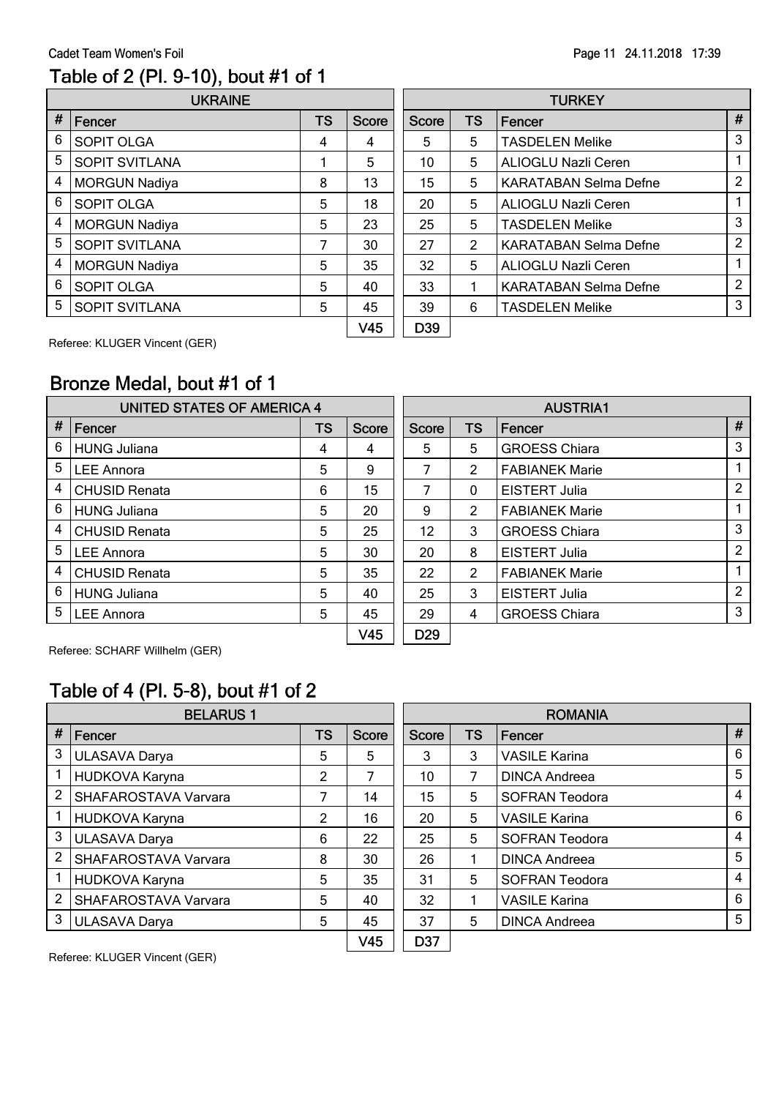#### Table of 2 (Pl. 9-10), bout #1 of 1

|                 | <b>UKRAINE</b>        |    |              | <b>TURKEY</b> |           |                              |   |  |
|-----------------|-----------------------|----|--------------|---------------|-----------|------------------------------|---|--|
| #               | Fencer                | TS | <b>Score</b> | <b>Score</b>  | <b>TS</b> | Fencer                       | Ħ |  |
| 6               | SOPIT OLGA            | 4  | 4            | 5             | 5         | <b>TASDELEN Melike</b>       | 3 |  |
| $5\overline{)}$ | SOPIT SVITLANA        |    | 5            | 10            | 5         | ALIOGLU Nazli Ceren          |   |  |
| $\overline{4}$  | <b>MORGUN Nadiya</b>  | 8  | 13           | 15            | 5         | <b>KARATABAN Selma Defne</b> | 2 |  |
| 6               | SOPIT OLGA            | 5  | 18           | 20            | 5         | ALIOGLU Nazli Ceren          |   |  |
| $\overline{4}$  | <b>MORGUN Nadiya</b>  | 5  | 23           | 25            | 5         | <b>TASDELEN Melike</b>       | 3 |  |
| 5               | SOPIT SVITLANA        | 7  | 30           | 27            | 2         | <b>KARATABAN Selma Defne</b> | 2 |  |
| $\overline{4}$  | <b>MORGUN Nadiya</b>  | 5  | 35           | 32            | 5         | ALIOGLU Nazli Ceren          |   |  |
| 6               | SOPIT OLGA            | 5  | 40           | 33            |           | <b>KARATABAN Selma Defne</b> | 2 |  |
| 5               | <b>SOPIT SVITLANA</b> | 5  | 45           | 39            | 6         | <b>TASDELEN Melike</b>       | 3 |  |
|                 |                       |    | <b>MAE</b>   | הפח           |           |                              |   |  |

|       |       | <b>TURKEY</b> |                              |   |  |  |  |  |
|-------|-------|---------------|------------------------------|---|--|--|--|--|
| Score | Score | <b>TS</b>     | Fencer                       | # |  |  |  |  |
| 4     | 5     | 5             | <b>TASDELEN Melike</b>       | 3 |  |  |  |  |
| 5     | 10    | 5             | <b>ALIOGLU Nazli Ceren</b>   | 1 |  |  |  |  |
| 13    | 15    | 5.            | KARATABAN Selma Defne        | 2 |  |  |  |  |
| 18    | 20    | 5.            | <b>ALIOGLU Nazli Ceren</b>   | 1 |  |  |  |  |
| 23    | 25    | 5.            | <b>TASDELEN Melike</b>       | 3 |  |  |  |  |
| 30    | 27    | 2             | KARATABAN Selma Defne        | 2 |  |  |  |  |
| 35    | 32    | 5.            | <b>ALIOGLU Nazli Ceren</b>   | 1 |  |  |  |  |
| 40    | 33    |               | <b>KARATABAN Selma Defne</b> | 2 |  |  |  |  |
| 45    | 39    | 6             | <b>TASDELEN Melike</b>       | 3 |  |  |  |  |
| V45   | D39   |               |                              |   |  |  |  |  |

Referee: KLUGER Vincent (GER)

### Bronze Medal, bout #1 of 1

|   | <b>UNITED STATES OF AMERICA 4</b> |           |       |                 | <b>AUSTRIA1</b> |                       |   |  |
|---|-----------------------------------|-----------|-------|-----------------|-----------------|-----------------------|---|--|
| # | Fencer                            | <b>TS</b> | Score | <b>Score</b>    | <b>TS</b>       | Fencer                | # |  |
| 6 | <b>HUNG Juliana</b>               | 4         | 4     | 5               | 5               | <b>GROESS Chiara</b>  | 3 |  |
| 5 | <b>LEE Annora</b>                 | 5         | 9     |                 | $\overline{2}$  | <b>FABIANEK Marie</b> |   |  |
| 4 | <b>CHUSID Renata</b>              | 6         | 15    |                 | $\Omega$        | <b>EISTERT Julia</b>  | 2 |  |
| 6 | <b>HUNG Juliana</b>               | 5         | 20    | 9               | $\overline{2}$  | <b>FABIANEK Marie</b> |   |  |
| 4 | <b>CHUSID Renata</b>              | 5         | 25    | 12              | 3               | <b>GROESS Chiara</b>  | 3 |  |
| 5 | <b>LEE Annora</b>                 | 5         | 30    | 20              | 8               | <b>EISTERT Julia</b>  | 2 |  |
| 4 | <b>CHUSID Renata</b>              | 5         | 35    | 22              | $\overline{2}$  | <b>FABIANEK Marie</b> |   |  |
| 6 | <b>HUNG Juliana</b>               | 5         | 40    | 25              | 3               | <b>EISTERT Julia</b>  | 2 |  |
| 5 | <b>LEE Annora</b>                 | 5         | 45    | 29              | 4               | <b>GROESS Chiara</b>  | 3 |  |
|   |                                   |           | V45   | D <sub>29</sub> |                 |                       |   |  |

Referee: SCHARF Willhelm (GER)

# Table of 4 (Pl. 5-8), bout #1 of 2

|                | <b>BELARUS1</b>       |               |                 |              | <b>ROMANIA</b> |                       |   |  |  |
|----------------|-----------------------|---------------|-----------------|--------------|----------------|-----------------------|---|--|--|
| $\#$           | Fencer                | TS            | <b>Score</b>    | <b>Score</b> | TS             | Fencer                | # |  |  |
| 3              | <b>ULASAVA Darya</b>  | 5             | 5               | 3            | 3              | <b>VASILE Karina</b>  | 6 |  |  |
|                | <b>HUDKOVA Karyna</b> | 2             | 7               | 10           | 7              | <b>DINCA Andreea</b>  | 5 |  |  |
| $\overline{2}$ | SHAFAROSTAVA Varvara  | 7             | 14              | 15           | 5              | <b>SOFRAN Teodora</b> | 4 |  |  |
|                | HUDKOVA Karyna        | $\mathcal{P}$ | 16              | 20           | 5              | <b>VASILE Karina</b>  | 6 |  |  |
| 3              | <b>ULASAVA Darya</b>  | 6             | 22              | 25           | 5              | <b>SOFRAN Teodora</b> | 4 |  |  |
| 2              | SHAFAROSTAVA Varvara  | 8             | 30              | 26           |                | <b>DINCA Andreea</b>  | 5 |  |  |
|                | HUDKOVA Karyna        | 5             | 35              | 31           | 5              | <b>SOFRAN Teodora</b> | 4 |  |  |
| 2              | SHAFAROSTAVA Varvara  | 5             | 40              | 32           |                | <b>VASILE Karina</b>  | 6 |  |  |
| 3              | <b>ULASAVA Darya</b>  | 5             | 45              | 37           | 5              | <b>DINCA Andreea</b>  | 5 |  |  |
|                |                       |               | V <sub>45</sub> | D37          |                |                       |   |  |  |

Referee: KLUGER Vincent (GER)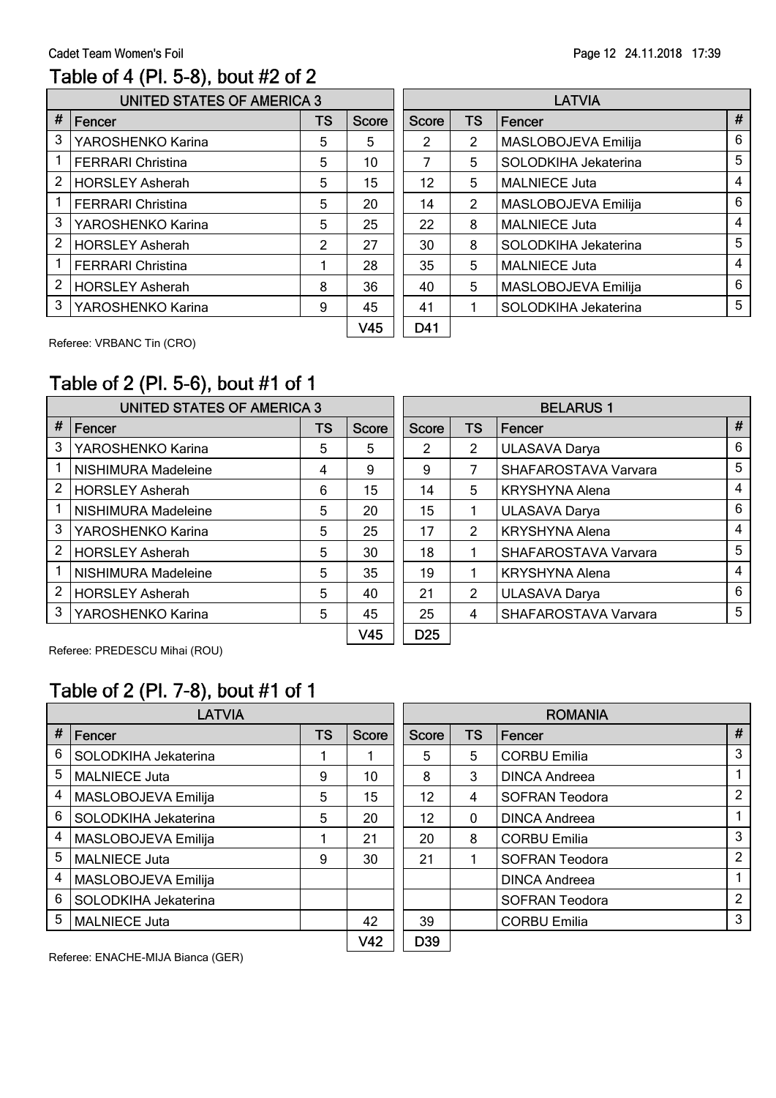#### Page 12 24.11.2018 17:39

### Table of 4 (Pl. 5-8), bout #2 of 2

|                | <b>UNITED STATES OF AMERICA 3</b> |                |              | <b>LATVIA</b> |                |                      |   |  |
|----------------|-----------------------------------|----------------|--------------|---------------|----------------|----------------------|---|--|
| #              | Fencer                            | <b>TS</b>      | <b>Score</b> | <b>Score</b>  | <b>TS</b>      | Fencer               | Ħ |  |
| 3              | YAROSHENKO Karina                 | 5              | 5            | 2             | $\overline{2}$ | MASLOBOJEVA Emilija  | 6 |  |
|                | <b>FERRARI Christina</b>          | 5              | 10           |               | 5              | SOLODKIHA Jekaterina | 5 |  |
| $\overline{2}$ | <b>HORSLEY Asherah</b>            | 5              | 15           | 12            | 5              | <b>MALNIECE Juta</b> | 4 |  |
|                | <b>FERRARI Christina</b>          | 5              | 20           | 14            | 2              | MASLOBOJEVA Emilija  | 6 |  |
| 3              | YAROSHENKO Karina                 | 5              | 25           | 22            | 8              | <b>MALNIECE Juta</b> | 4 |  |
| $\overline{2}$ | <b>HORSLEY Asherah</b>            | $\overline{2}$ | 27           | 30            | 8              | SOLODKIHA Jekaterina | 5 |  |
|                | <b>FERRARI Christina</b>          |                | 28           | 35            | 5              | <b>MALNIECE Juta</b> | 4 |  |
| $\overline{2}$ | <b>HORSLEY Asherah</b>            | 8              | 36           | 40            | 5              | MASLOBOJEVA Emilija  | 6 |  |
| 3              | YAROSHENKO Karina                 | 9              | 45           | 41            |                | SOLODKIHA Jekaterina | 5 |  |
|                |                                   |                | 111F         | <b>D.44</b>   |                |                      |   |  |

|                 |       | LATVIA    |                      |   |  |  |  |  |  |
|-----------------|-------|-----------|----------------------|---|--|--|--|--|--|
| Score           | Score | <b>TS</b> | Fencer               | # |  |  |  |  |  |
| 5               | 2     | 2         | MASLOBOJEVA Emilija  | 6 |  |  |  |  |  |
| 10              | 7     | 5         | SOLODKIHA Jekaterina | 5 |  |  |  |  |  |
| 15              | 12    | 5         | <b>MALNIECE Juta</b> | 4 |  |  |  |  |  |
| 20              | 14    | 2         | MASLOBOJEVA Emilija  | 6 |  |  |  |  |  |
| 25              | 22    | 8         | <b>MALNIECE Juta</b> | 4 |  |  |  |  |  |
| 27              | 30    | 8         | SOLODKIHA Jekaterina | 5 |  |  |  |  |  |
| 28              | 35    | 5         | <b>MALNIECE Juta</b> | 4 |  |  |  |  |  |
| 36              | 40    | 5         | MASLOBOJEVA Emilija  | 6 |  |  |  |  |  |
| 45              | 41    |           | SOLODKIHA Jekaterina | 5 |  |  |  |  |  |
| V <sub>45</sub> | D41   |           |                      |   |  |  |  |  |  |

Referee: VRBANC Tin (CRO)

# Table of 2 (Pl. 5-6), bout #1 of 1

|   | <b>UNITED STATES OF AMERICA 3</b> |    |              | <b>BELARUS 1</b> |                |                       |                |
|---|-----------------------------------|----|--------------|------------------|----------------|-----------------------|----------------|
| # | Fencer                            | TS | <b>Score</b> | <b>Score</b>     | TS             | Fencer                | #              |
| 3 | YAROSHENKO Karina                 | 5  | 5            | 2                | 2              | <b>ULASAVA Darya</b>  | 6              |
|   | NISHIMURA Madeleine               | 4  | 9            | 9                |                | SHAFAROSTAVA Varvara  | 5              |
| 2 | <b>HORSLEY Asherah</b>            | 6  | 15           | 14               | 5              | <b>KRYSHYNA Alena</b> | $\overline{4}$ |
|   | NISHIMURA Madeleine               | 5  | 20           | 15               |                | <b>ULASAVA Darya</b>  | 6              |
| 3 | YAROSHENKO Karina                 | 5  | 25           | 17               | $\overline{2}$ | <b>KRYSHYNA Alena</b> | $\overline{4}$ |
| 2 | <b>HORSLEY Asherah</b>            | 5  | 30           | 18               |                | SHAFAROSTAVA Varvara  | 5              |
|   | NISHIMURA Madeleine               | 5  | 35           | 19               |                | <b>KRYSHYNA Alena</b> | $\overline{4}$ |
| 2 | <b>HORSLEY Asherah</b>            | 5  | 40           | 21               | $\overline{2}$ | <b>ULASAVA Darya</b>  | 6              |
| 3 | YAROSHENKO Karina                 | 5  | 45           | 25               | 4              | SHAFAROSTAVA Varvara  | 5              |
|   |                                   |    | V45          | D <sub>25</sub>  |                |                       |                |

Referee: PREDESCU Mihai (ROU)

# Table of 2 (Pl. 7-8), bout #1 of 1

|   | <b>LATVIA</b>        |    |                 |              | <b>ROMANIA</b> |                       |   |  |  |
|---|----------------------|----|-----------------|--------------|----------------|-----------------------|---|--|--|
| # | Fencer               | TS | <b>Score</b>    | <b>Score</b> | TS             | Fencer                | # |  |  |
| 6 | SOLODKIHA Jekaterina |    |                 | 5            | 5              | <b>CORBU Emilia</b>   | 3 |  |  |
| 5 | <b>MALNIECE Juta</b> | 9  | 10              | 8            | 3              | <b>DINCA Andreea</b>  |   |  |  |
| 4 | MASLOBOJEVA Emilija  | 5  | 15              | 12           | 4              | <b>SOFRAN Teodora</b> | 2 |  |  |
| 6 | SOLODKIHA Jekaterina | 5  | 20              | 12           | $\Omega$       | <b>DINCA Andreea</b>  | 1 |  |  |
| 4 | MASLOBOJEVA Emilija  |    | 21              | 20           | 8              | <b>CORBU Emilia</b>   | 3 |  |  |
| 5 | <b>MALNIECE Juta</b> | 9  | 30              | 21           |                | <b>SOFRAN Teodora</b> | 2 |  |  |
| 4 | MASLOBOJEVA Emilija  |    |                 |              |                | <b>DINCA Andreea</b>  |   |  |  |
| 6 | SOLODKIHA Jekaterina |    |                 |              |                | <b>SOFRAN Teodora</b> | 2 |  |  |
| 5 | <b>MALNIECE Juta</b> |    | 42              | 39           |                | <b>CORBU Emilia</b>   | 3 |  |  |
|   |                      |    | V <sub>42</sub> | D39          |                |                       |   |  |  |

Referee: ENACHE-MIJA Bianca (GER)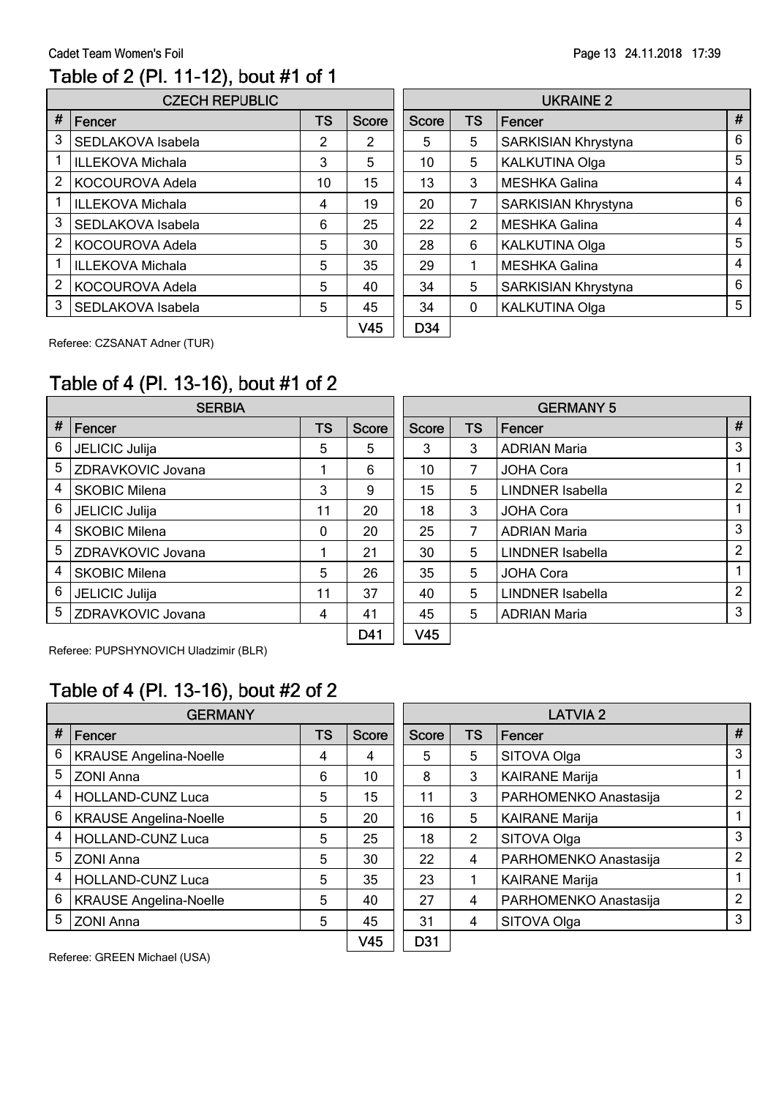#### Table of 2 (Pl. 11-12), bout #1 of 1

|                | <b>CZECH REPUBLIC</b>   |           |              | <b>UKRAINE 2</b> |                |                            |   |
|----------------|-------------------------|-----------|--------------|------------------|----------------|----------------------------|---|
| #              | Fencer                  | <b>TS</b> | <b>Score</b> | <b>Score</b>     | <b>TS</b>      | Fencer                     | Ħ |
| 3              | SEDLAKOVA Isabela       | 2         | 2            | 5                | 5              | SARKISIAN Khrystyna        | 6 |
|                | <b>ILLEKOVA Michala</b> | 3         | 5            | 10               | 5              | <b>KALKUTINA Olga</b>      | 5 |
| $\overline{2}$ | KOCOUROVA Adela         | 10        | 15           | 13               | 3              | <b>MESHKA Galina</b>       | 4 |
|                | <b>ILLEKOVA Michala</b> | 4         | 19           | 20               | 7              | <b>SARKISIAN Khrystyna</b> | 6 |
| 3              | SEDLAKOVA Isabela       | 6         | 25           | 22               | $\overline{2}$ | <b>MESHKA Galina</b>       | 4 |
| $\overline{2}$ | KOCOUROVA Adela         | 5         | 30           | 28               | 6              | <b>KALKUTINA Olga</b>      | 5 |
|                | <b>ILLEKOVA Michala</b> | 5         | 35           | 29               |                | <b>MESHKA Galina</b>       | 4 |
| 2              | KOCOUROVA Adela         | 5         | 40           | 34               | 5              | <b>SARKISIAN Khrystyna</b> | 6 |
| 3              | SEDLAKOVA Isabela       | 5         | 45           | 34               | $\mathbf{0}$   | <b>KALKUTINA Olga</b>      | 5 |
|                |                         |           | <b>VAL</b>   | D24.             |                |                            |   |

|                 |              |           | <b>UKRAINE 2</b>           |   |
|-----------------|--------------|-----------|----------------------------|---|
| <b>Score</b>    | <b>Score</b> | <b>TS</b> | Fencer                     | # |
| 2               | 5            | 5         | SARKISIAN Khrystyna        | 6 |
| 5               | 10           | 5         | <b>KALKUTINA Olga</b>      | 5 |
| 15              | 13           | 3         | <b>MESHKA Galina</b>       | 4 |
| 19              | 20           | 7         | <b>SARKISIAN Khrystyna</b> | 6 |
| 25              | 22           | 2         | <b>MESHKA Galina</b>       | 4 |
| 30              | 28           | 6         | <b>KALKUTINA Olga</b>      | 5 |
| 35              | 29           |           | <b>MESHKA Galina</b>       | 4 |
| 40              | 34           | 5         | <b>SARKISIAN Khrystyna</b> | 6 |
| 45              | 34           | 0         | <b>KALKUTINA Olga</b>      | 5 |
| V <sub>45</sub> | D34          |           |                            |   |

Referee: CZSANAT Adner (TUR)

# Table of 4 (Pl. 13-16), bout #1 of 2

|   | <b>SERBIA</b>         |           |       | <b>GERMANY 5</b> |           |                         |                |
|---|-----------------------|-----------|-------|------------------|-----------|-------------------------|----------------|
| # | Fencer                | <b>TS</b> | Score | <b>Score</b>     | <b>TS</b> | Fencer                  | #              |
| 6 | JELICIC Julija        | 5         | 5     | 3                | 3         | <b>ADRIAN Maria</b>     | 3              |
| 5 | ZDRAVKOVIC Jovana     |           | 6     | 10               |           | <b>JOHA Cora</b>        |                |
| 4 | <b>SKOBIC Milena</b>  | 3         | 9     | 15               | 5         | LINDNER Isabella        | 2              |
| 6 | JELICIC Julija        | 11        | 20    | 18               | 3         | <b>JOHA Cora</b>        |                |
| 4 | <b>SKOBIC Milena</b>  | 0         | 20    | 25               | 7         | <b>ADRIAN Maria</b>     | 3              |
| 5 | ZDRAVKOVIC Jovana     |           | 21    | 30               | 5         | <b>LINDNER Isabella</b> | 2              |
| 4 | <b>SKOBIC Milena</b>  | 5         | 26    | 35               | 5         | <b>JOHA Cora</b>        |                |
| 6 | <b>JELICIC Julija</b> | 11        | 37    | 40               | 5         | <b>LINDNER Isabella</b> | $\overline{2}$ |
| 5 | ZDRAVKOVIC Jovana     | 4         | 41    | 45               | 5         | <b>ADRIAN Maria</b>     | 3              |
|   |                       |           | D41   | V45              |           |                         |                |

Referee: PUPSHYNOVICH Uladzimir (BLR)

# Table of 4 (Pl. 13-16), bout #2 of 2

|   | <b>GERMANY</b>                |    | <b>LATVIA 2</b> |              |           |                       |   |  |  |
|---|-------------------------------|----|-----------------|--------------|-----------|-----------------------|---|--|--|
| # | Fencer                        | TS | <b>Score</b>    | <b>Score</b> | <b>TS</b> | Fencer                | # |  |  |
| 6 | <b>KRAUSE Angelina-Noelle</b> | 4  | 4               | 5            | 5         | SITOVA Olga           | 3 |  |  |
| 5 | <b>ZONI Anna</b>              | 6  | 10              | 8            | 3         | <b>KAIRANE Marija</b> |   |  |  |
| 4 | <b>HOLLAND-CUNZ Luca</b>      | 5  | 15              | 11           | 3         | PARHOMENKO Anastasija | 2 |  |  |
| 6 | <b>KRAUSE Angelina-Noelle</b> | 5  | 20              | 16           | 5         | <b>KAIRANE Marija</b> |   |  |  |
| 4 | <b>HOLLAND-CUNZ Luca</b>      | 5  | 25              | 18           | 2         | SITOVA Olga           | 3 |  |  |
| 5 | <b>ZONI Anna</b>              | 5  | 30              | 22           | 4         | PARHOMENKO Anastasija | 2 |  |  |
| 4 | <b>HOLLAND-CUNZ Luca</b>      | 5  | 35              | 23           |           | <b>KAIRANE Marija</b> |   |  |  |
| 6 | <b>KRAUSE Angelina-Noelle</b> | 5  | 40              | 27           | 4         | PARHOMENKO Anastasija | 2 |  |  |
| 5 | <b>ZONI Anna</b>              | 5  | 45              | 31           | 4         | SITOVA Olga           | 3 |  |  |
|   |                               |    | D31             |              |           |                       |   |  |  |

Referee: GREEN Michael (USA)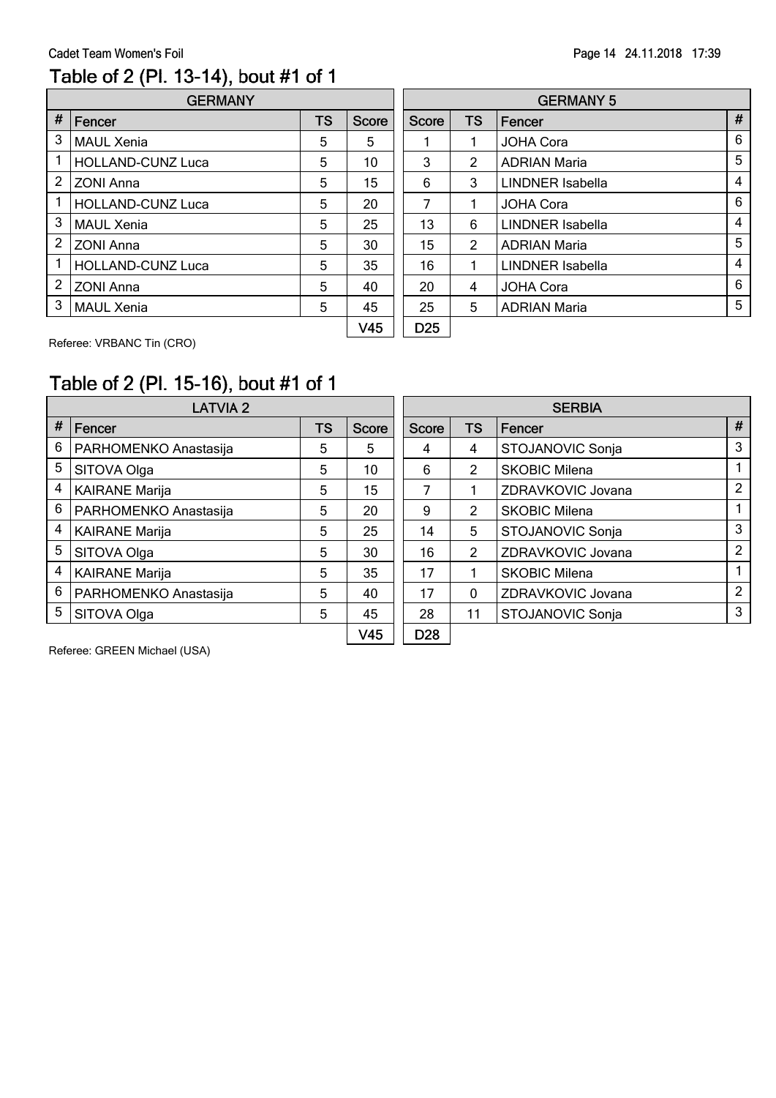# Table of 2 (Pl. 13-14), bout #1 of 1

|                | <b>GERMANY</b>           |           |              | <b>GERMANY 5</b> |                |                         |   |  |  |  |
|----------------|--------------------------|-----------|--------------|------------------|----------------|-------------------------|---|--|--|--|
| #              | Fencer                   | <b>TS</b> | <b>Score</b> | <b>Score</b>     | <b>TS</b>      | Fencer                  | Ħ |  |  |  |
| 3              | <b>MAUL Xenia</b>        | 5         | 5            |                  |                | <b>JOHA Cora</b>        | 6 |  |  |  |
|                | <b>HOLLAND-CUNZ Luca</b> | 5         | 10           | 3                | $\overline{2}$ | <b>ADRIAN Maria</b>     | 5 |  |  |  |
| $\overline{2}$ | <b>ZONI Anna</b>         | 5         | 15           | 6                | 3              | LINDNER Isabella        | 4 |  |  |  |
|                | <b>HOLLAND-CUNZ Luca</b> | 5         | 20           |                  |                | JOHA Cora               | 6 |  |  |  |
| 3              | <b>MAUL Xenia</b>        | 5         | 25           | 13               | 6              | LINDNER Isabella        | 4 |  |  |  |
| $\overline{2}$ | <b>ZONI Anna</b>         | 5         | 30           | 15               | $\overline{2}$ | <b>ADRIAN Maria</b>     | 5 |  |  |  |
|                | HOLLAND-CUNZ Luca        | 5         | 35           | 16               |                | <b>LINDNER Isabella</b> | 4 |  |  |  |
| $\overline{2}$ | <b>ZONI Anna</b>         | 5         | 40           | 20               | 4              | <b>JOHA Cora</b>        | 6 |  |  |  |
| 3              | <b>MAUL Xenia</b>        | 5         | 45           | 25               | 5              | <b>ADRIAN Maria</b>     | 5 |  |  |  |
|                |                          |           | <b>MAR</b>   | <b>DOR</b>       |                |                         |   |  |  |  |

|              | <b>GERMANY 5</b> |           |                         |   |  |  |  |  |  |
|--------------|------------------|-----------|-------------------------|---|--|--|--|--|--|
| <b>Score</b> | <b>Score</b>     | <b>TS</b> | Fencer                  | # |  |  |  |  |  |
| 5            |                  | 1         | <b>JOHA Cora</b>        | 6 |  |  |  |  |  |
| 10           | 3                | 2         | <b>ADRIAN Maria</b>     | 5 |  |  |  |  |  |
| 15           | 6                | 3         | <b>LINDNER Isabella</b> | 4 |  |  |  |  |  |
| 20           | 7                | 1         | <b>JOHA Cora</b>        | 6 |  |  |  |  |  |
| 25           | 13               | 6         | <b>LINDNER Isabella</b> | 4 |  |  |  |  |  |
| 30           | 15               | 2         | <b>ADRIAN Maria</b>     | 5 |  |  |  |  |  |
| 35           | 16               | 1         | <b>LINDNER Isabella</b> | 4 |  |  |  |  |  |
| 40           | 20               | 4         | <b>JOHA Cora</b>        | 6 |  |  |  |  |  |
| 45           | 25               | 5         | <b>ADRIAN Maria</b>     | 5 |  |  |  |  |  |
| V45          | D25              |           |                         |   |  |  |  |  |  |

Referee: VRBANC Tin (CRO)

# Table of 2 (Pl. 15-16), bout #1 of 1

|   | <b>LATVIA 2</b>       |           | <b>SERBIA</b>   |              |                |                      |   |  |  |
|---|-----------------------|-----------|-----------------|--------------|----------------|----------------------|---|--|--|
| # | Fencer                | <b>TS</b> | <b>Score</b>    | <b>Score</b> | <b>TS</b>      | Fencer               | # |  |  |
| 6 | PARHOMENKO Anastasija | 5         | 5               | 4            | 4              | STOJANOVIC Sonja     | 3 |  |  |
| 5 | SITOVA Olga           |           | 10              | 6            | 2              | <b>SKOBIC Milena</b> |   |  |  |
| 4 | <b>KAIRANE Marija</b> | 5         | 15              |              |                | ZDRAVKOVIC Jovana    | 2 |  |  |
| 6 | PARHOMENKO Anastasija | 5         | 20              | 9            | 2              | <b>SKOBIC Milena</b> |   |  |  |
| 4 | <b>KAIRANE Marija</b> | 5         | 25              | 14           | 5              | STOJANOVIC Sonja     | 3 |  |  |
| 5 | SITOVA Olga           | 5         | 30              | 16           | $\overline{2}$ | ZDRAVKOVIC Jovana    | 2 |  |  |
| 4 | <b>KAIRANE Marija</b> | 5         | 35              | 17           |                | <b>SKOBIC Milena</b> |   |  |  |
| 6 | PARHOMENKO Anastasija | 5         | 40              | 17           | 0              | ZDRAVKOVIC Jovana    | 2 |  |  |
| 5 | SITOVA Olga           | 5         | 45              | 28           | 11             | STOJANOVIC Sonja     | 3 |  |  |
|   |                       |           | D <sub>28</sub> |              |                |                      |   |  |  |

Referee: GREEN Michael (USA)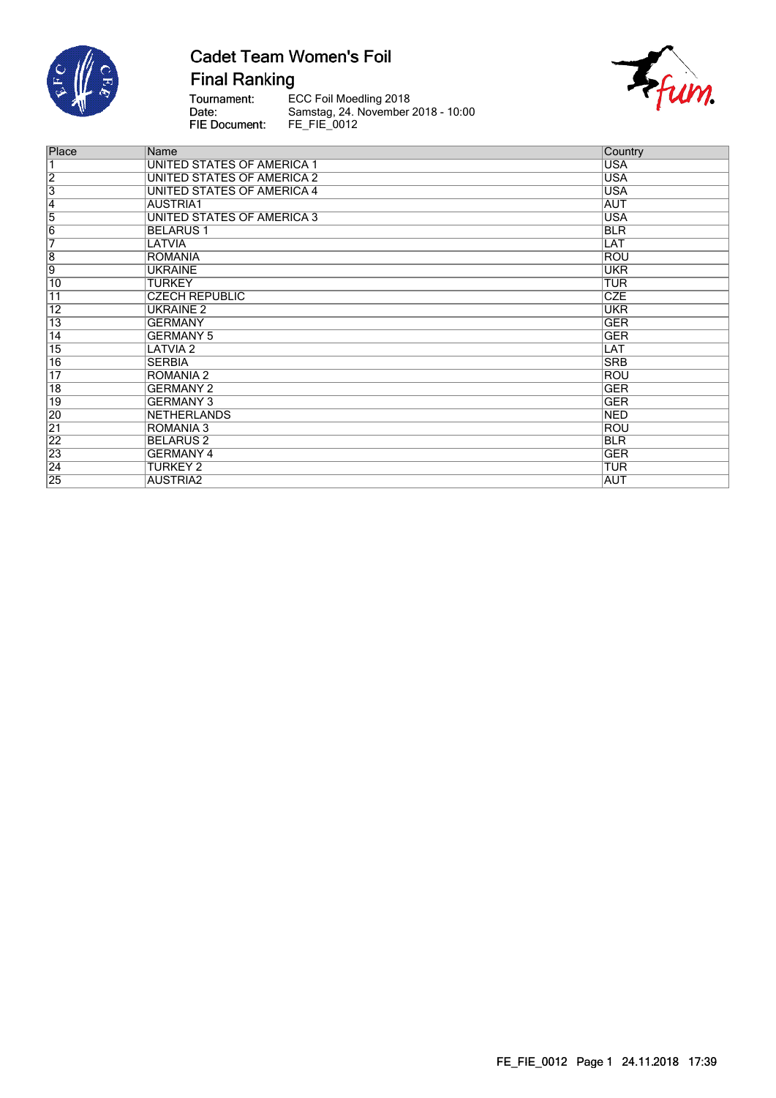





| Tournament:   | ECC Foil Moedling 2018             |
|---------------|------------------------------------|
| Date:         | Samstag, 24. November 2018 - 10:00 |
| FIE Document: | FE FIE 0012                        |

| Place                   | Name                       | Country    |
|-------------------------|----------------------------|------------|
| $\overline{\mathbb{1}}$ | UNITED STATES OF AMERICA 1 | <b>USA</b> |
| $\overline{2}$          | UNITED STATES OF AMERICA 2 | <b>USA</b> |
| $\overline{3}$          | UNITED STATES OF AMERICA 4 | <b>USA</b> |
| $\overline{4}$          | <b>AUSTRIA1</b>            | AUT        |
| $\overline{5}$          | UNITED STATES OF AMERICA 3 | <b>USA</b> |
| $\overline{6}$          | <b>BELARUS1</b>            | <b>BLR</b> |
| 7                       | LATVIA                     | LAT        |
| $\overline{8}$          | <b>ROMANIA</b>             | <b>ROU</b> |
| 9                       | <b>UKRAINE</b>             | <b>UKR</b> |
| $\overline{10}$         | <b>TURKEY</b>              | TUR        |
| $\overline{11}$         | <b>CZECH REPUBLIC</b>      | <b>CZE</b> |
| $\overline{12}$         | <b>UKRAINE 2</b>           | <b>UKR</b> |
| $\overline{13}$         | <b>GERMANY</b>             | <b>GER</b> |
| $\overline{14}$         | <b>GERMANY 5</b>           | <b>GER</b> |
| 15                      | <b>LATVIA 2</b>            | LAT        |
| 16                      | <b>SERBIA</b>              | <b>SRB</b> |
| $\overline{17}$         | ROMANIA 2                  | <b>ROU</b> |
| $\overline{18}$         | <b>GERMANY 2</b>           | <b>GER</b> |
| $\overline{19}$         | <b>GERMANY 3</b>           | <b>GER</b> |
| $\overline{20}$         | <b>NETHERLANDS</b>         | <b>NED</b> |
| $\overline{21}$         | ROMANIA 3                  | <b>ROU</b> |
| $\overline{22}$         | <b>BELARUS 2</b>           | <b>BLR</b> |
| 23                      | <b>GERMANY 4</b>           | <b>GER</b> |
| $\overline{24}$         | <b>TURKEY 2</b>            | <b>TUR</b> |
| 25                      | <b>AUSTRIA2</b>            | <b>AUT</b> |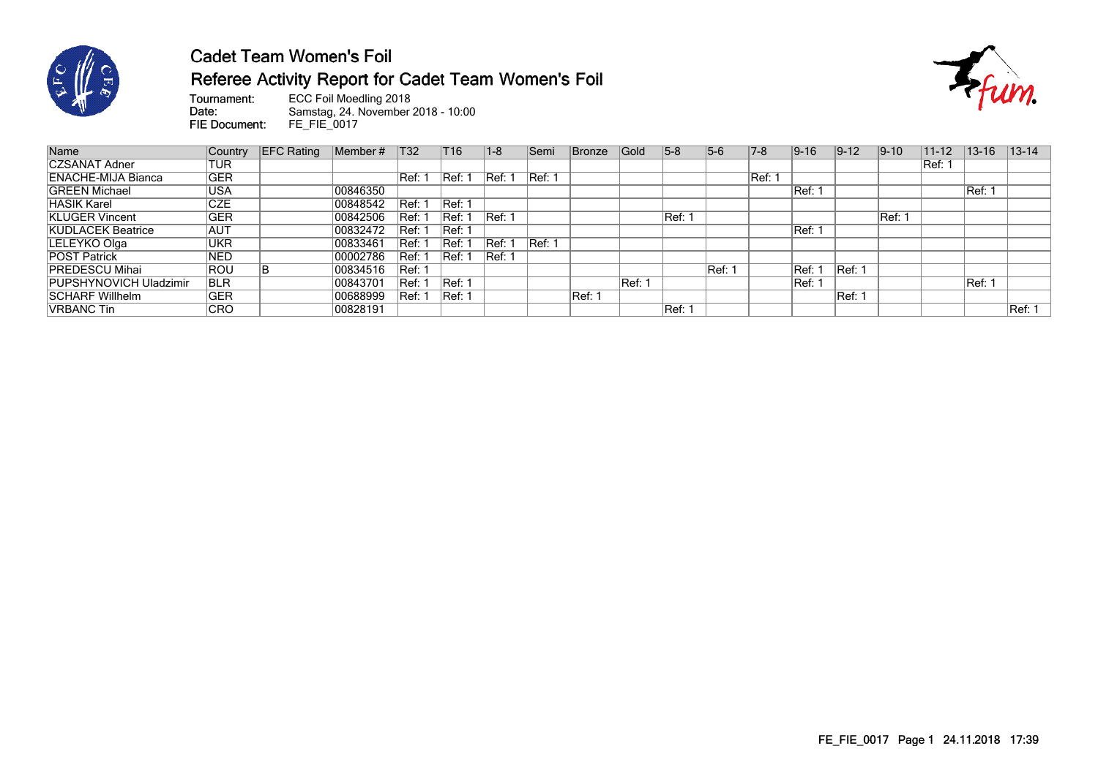

#### Referee Activity Report for Cadet Team Women's Foil



Tournament: ECC Foil Moedling 2018 Date: Samstag, 24. November 2018 - 10:00 FIE Document: FE FIE 0017

| Name                     | Country    | <b>EFC Rating</b> | Member # | T32     | T16                       | $1 - 8$ | <b>Semi</b> | Bronze | Gold   | $ 5-8 $ | $5-6$  | $7-8$  | $ 9-16 $ | $ 9-12 $ | $ 9-10 $ | $11-12$ | $13 - 16$ | $13 - 14$     |
|--------------------------|------------|-------------------|----------|---------|---------------------------|---------|-------------|--------|--------|---------|--------|--------|----------|----------|----------|---------|-----------|---------------|
| <b>CZSANAT Adner</b>     | TUR        |                   |          |         |                           |         |             |        |        |         |        |        |          |          |          | ∣Ref: 1 |           |               |
| ENACHE-MIJA Bianca       | <b>GER</b> |                   |          | Ref: 1  | $\overline{\text{Ref}}$ . | Ref: 1  | ∣Ref: 1     |        |        |         |        | Ref: 1 |          |          |          |         |           |               |
| <b>IGREEN Michael</b>    | <b>USA</b> |                   | 00846350 |         |                           |         |             |        |        |         |        |        | ∣Ref: 1  |          |          |         | Ref: 1    |               |
| HASIK Karel              | <b>CZE</b> |                   | 00848542 | lRef: 1 | Ref: 1                    |         |             |        |        |         |        |        |          |          |          |         |           |               |
| <b>KLUGER Vincent</b>    | <b>GER</b> |                   | 00842506 | lRef: 1 | ∣Ref: 1                   | Ref: 1  |             |        |        | IRef: 1 |        |        |          |          | Ref: 1   |         |           |               |
| <b>KUDLACEK Beatrice</b> | <b>AUT</b> |                   | 00832472 | lRef: 1 | Ref: 1                    |         |             |        |        |         |        |        | Ref: 1   |          |          |         |           |               |
| LELEYKO Olga             | <b>UKR</b> |                   | 00833461 | ∣Ref: 1 | ∣Ref: 1                   | Ref: 1  | Ref:        |        |        |         |        |        |          |          |          |         |           |               |
| <b>POST Patrick</b>      | <b>NED</b> |                   | 00002786 | IRef: 1 | Ref: 1                    | Ref: 1  |             |        |        |         |        |        |          |          |          |         |           |               |
| <b>PREDESCU Mihai</b>    | <b>ROU</b> |                   | 00834516 | lRef: 1 |                           |         |             |        |        |         | Ref: 1 |        | lRef: 1  | Ref: 1   |          |         |           |               |
| PUPSHYNOVICH Uladzimir   | <b>BLR</b> |                   | 00843701 | ∣Ref: 1 | Ref: 1                    |         |             |        | Ref: 1 |         |        |        | lRef: 1  |          |          |         | Ref: 1    |               |
| <b>SCHARF Willhelm</b>   | <b>GER</b> |                   | 00688999 | lRef: 1 | Ref: 1                    |         |             | Ref: 1 |        |         |        |        |          | Ref: 1   |          |         |           |               |
| <b>VRBANC Tin</b>        | <b>CRO</b> |                   | 00828191 |         |                           |         |             |        |        | Ref: 1  |        |        |          |          |          |         |           | <b>Ref: 1</b> |